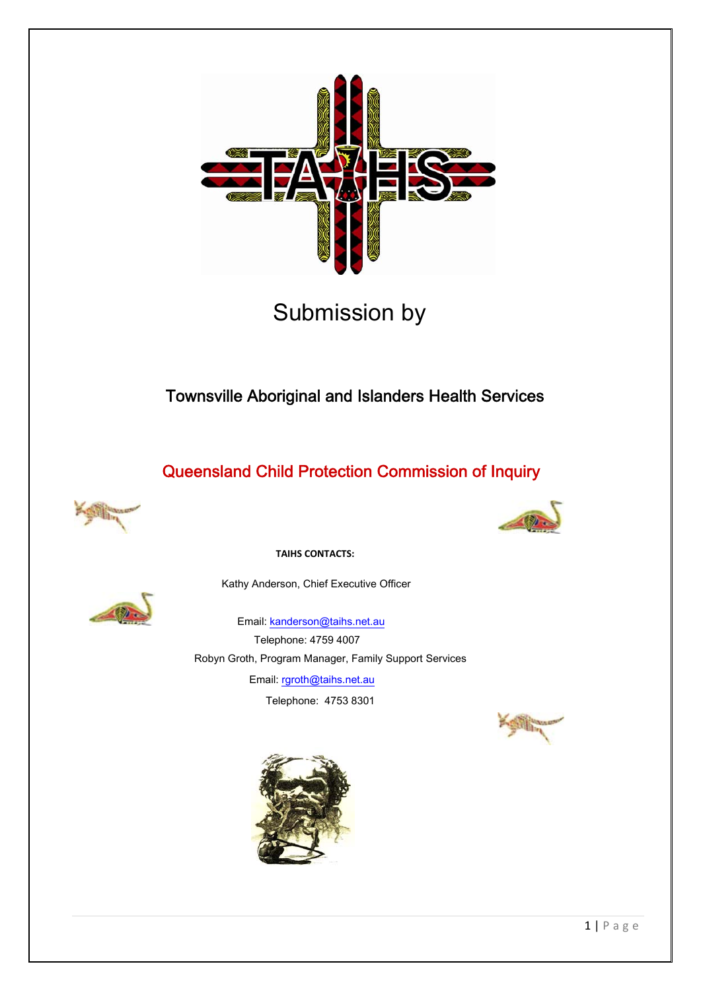

# Submission by

# Townsville Aboriginal and Islanders Health Services

# Queensland Child Protection Commission of Inquiry





 **TAIHS CONTACTS:**

Kathy Anderson, Chief Executive Officer

 Email: [kanderson@taihs.net.au](mailto:kanderson@taihs.net.au)  Telephone: 4759 4007 Robyn Groth, Program Manager, Family Support Services Email: [rgroth@taihs.net.au](mailto:rgroth@taihs.net.au) Telephone: 4753 8301



<span id="page-0-0"></span>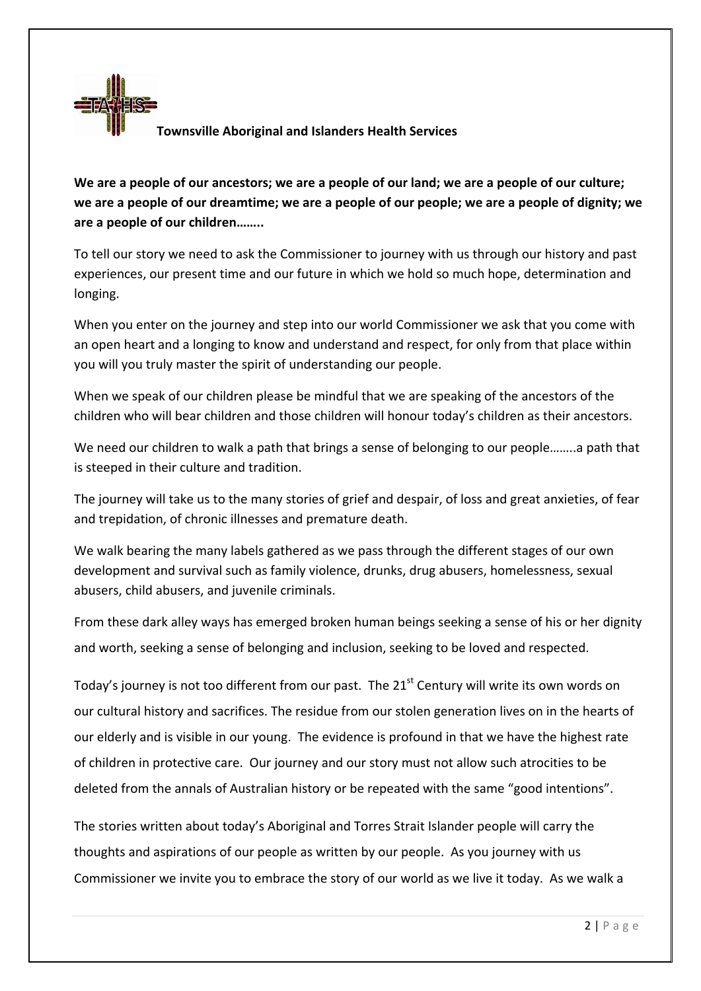

**Townsville Aboriginal and Islanders Health Services**

We are a people of our ancestors; we are a people of our land; we are a people of our culture; we are a people of our dreamtime; we are a people of our people; we are a people of dignity; we **are a people of our children……..**

To tell our story we need to ask the Commissioner to journey with us through our history and past experiences, our present time and our future in which we hold so much hope, determination and longing.

When you enter on the journey and step into our world Commissioner we ask that you come with an open heart and a longing to know and understand and respect, for only from that place within you will you truly master the spirit of understanding our people.

When we speak of our children please be mindful that we are speaking of the ancestors of the children who will bear children and those children will honour today's children as their ancestors.

We need our children to walk a path that brings a sense of belonging to our people……..a path that is steeped in their culture and tradition.

The journey will take us to the many stories of grief and despair, of loss and great anxieties, of fear and trepidation, of chronic illnesses and premature death.

We walk bearing the many labels gathered as we pass through the different stages of our own development and survival such as family violence, drunks, drug abusers, homelessness, sexual abusers, child abusers, and juvenile criminals.

From these dark alley ways has emerged broken human beings seeking a sense of his or her dignity and worth, seeking a sense of belonging and inclusion, seeking to be loved and respected.

Today's journey is not too different from our past. The 21<sup>st</sup> Century will write its own words on our cultural history and sacrifices. The residue from our stolen generation lives on in the hearts of our elderly and is visible in our young. The evidence is profound in that we have the highest rate of children in protective care. Our journey and our story must not allow such atrocities to be deleted from the annals of Australian history or be repeated with the same "good intentions".

The stories written about today's Aboriginal and Torres Strait Islander people will carry the thoughts and aspirations of our people as written by our people. As you journey with us Commissioner we invite you to embrace the story of our world as we live it today. As we walk a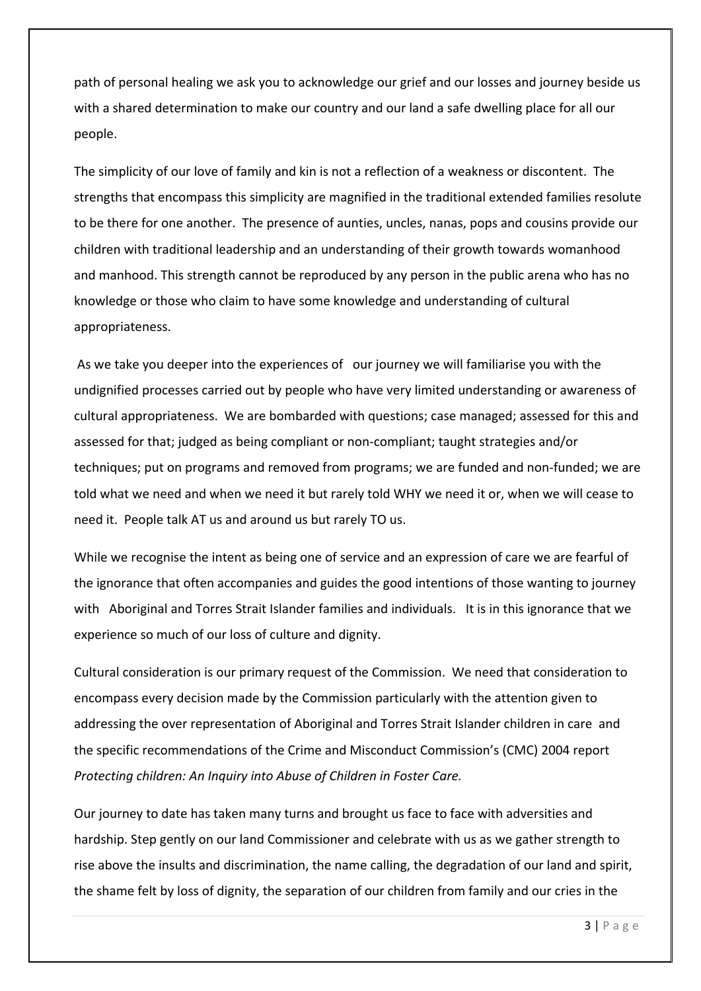path of personal healing we ask you to acknowledge our grief and our losses and journey beside us with a shared determination to make our country and our land a safe dwelling place for all our people.

The simplicity of our love of family and kin is not a reflection of a weakness or discontent. The strengths that encompass this simplicity are magnified in the traditional extended families resolute to be there for one another. The presence of aunties, uncles, nanas, pops and cousins provide our children with traditional leadership and an understanding of their growth towards womanhood and manhood. This strength cannot be reproduced by any person in the public arena who has no knowledge or those who claim to have some knowledge and understanding of cultural appropriateness.

As we take you deeper into the experiences of our journey we will familiarise you with the undignified processes carried out by people who have very limited understanding or awareness of cultural appropriateness. We are bombarded with questions; case managed; assessed for this and assessed for that; judged as being compliant or non‐compliant; taught strategies and/or techniques; put on programs and removed from programs; we are funded and non‐funded; we are told what we need and when we need it but rarely told WHY we need it or, when we will cease to need it. People talk AT us and around us but rarely TO us.

While we recognise the intent as being one of service and an expression of care we are fearful of the ignorance that often accompanies and guides the good intentions of those wanting to journey with Aboriginal and Torres Strait Islander families and individuals. It is in this ignorance that we experience so much of our loss of culture and dignity.

Cultural consideration is our primary request of the Commission. We need that consideration to encompass every decision made by the Commission particularly with the attention given to addressing the over representation of Aboriginal and Torres Strait Islander children in care and the specific recommendations of the Crime and Misconduct Commission's (CMC) 2004 report *Protecting children: An Inquiry into Abuse of Children in Foster Care.*

Our journey to date has taken many turns and brought us face to face with adversities and hardship. Step gently on our land Commissioner and celebrate with us as we gather strength to rise above the insults and discrimination, the name calling, the degradation of our land and spirit, the shame felt by loss of dignity, the separation of our children from family and our cries in the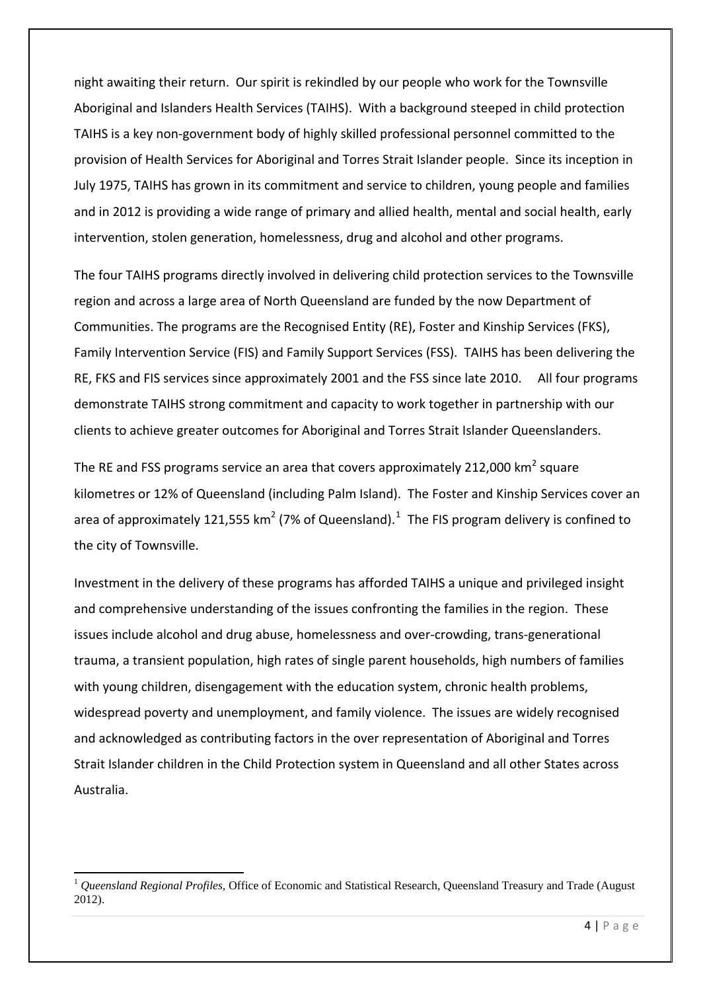night awaiting their return. Our spirit is rekindled by our people who work for the Townsville Aboriginal and Islanders Health Services (TAIHS). With a background steeped in child protection TAIHS is a key non‐government body of highly skilled professional personnel committed to the provision of Health Services for Aboriginal and Torres Strait Islander people. Since its inception in July 1975, TAIHS has grown in its commitment and service to children, young people and families and in 2012 is providing a wide range of primary and allied health, mental and social health, early intervention, stolen generation, homelessness, drug and alcohol and other programs.

The four TAIHS programs directly involved in delivering child protection services to the Townsville region and across a large area of North Queensland are funded by the now Department of Communities. The programs are the Recognised Entity (RE), Foster and Kinship Services (FKS), Family Intervention Service (FIS) and Family Support Services (FSS). TAIHS has been delivering the RE, FKS and FIS services since approximately 2001 and the FSS since late 2010. All four programs demonstrate TAIHS strong commitment and capacity to work together in partnership with our clients to achieve greater outcomes for Aboriginal and Torres Strait Islander Queenslanders.

The RE and FSS programs service an area that covers approximately 212,000  $km^2$  square kilometres or 12% of Queensland (including Palm Island). The Foster and Kinship Services cover an area of approximately [1](#page-0-0)21,555 km<sup>2</sup> (7% of Queensland).<sup>1</sup> The FIS program delivery is confined to the city of Townsville.

Investment in the delivery of these programs has afforded TAIHS a unique and privileged insight and comprehensive understanding of the issues confronting the families in the region. These issues include alcohol and drug abuse, homelessness and over‐crowding, trans‐generational trauma, a transient population, high rates of single parent households, high numbers of families with young children, disengagement with the education system, chronic health problems, widespread poverty and unemployment, and family violence. The issues are widely recognised and acknowledged as contributing factors in the over representation of Aboriginal and Torres Strait Islander children in the Child Protection system in Queensland and all other States across Australia.

<span id="page-3-0"></span>

<sup>1</sup> *Queensland Regional Profiles,* Office of Economic and Statistical Research, Queensland Treasury and Trade (August 2012).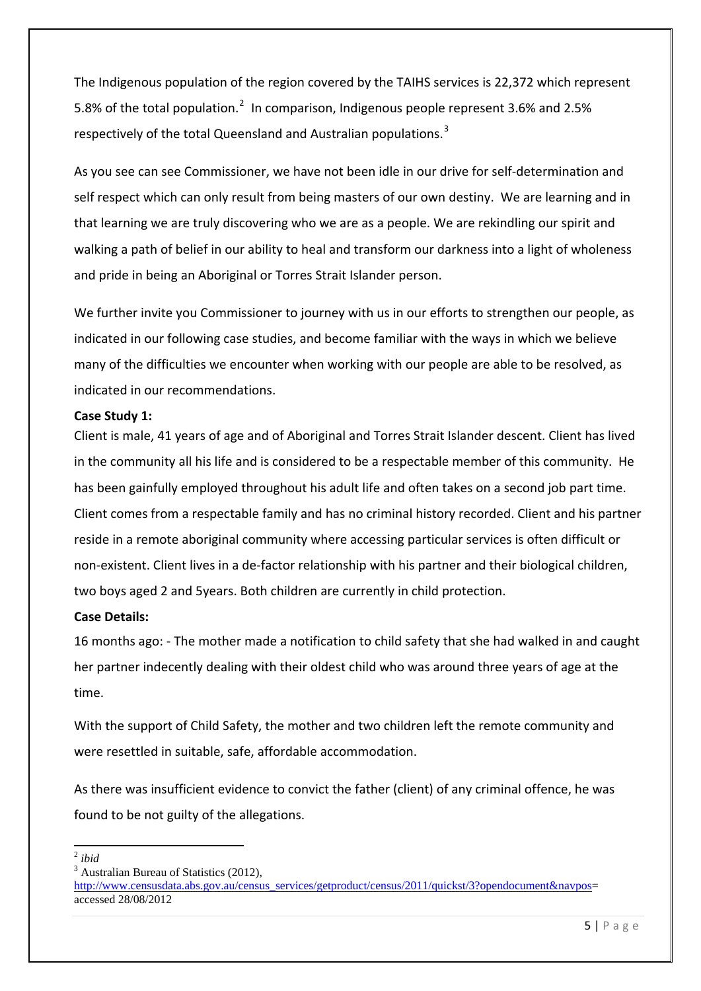The Indigenous population of the region covered by the TAIHS services is 22,372 which represent 5.8% of the total population.<sup>[2](#page-3-0)</sup> In comparison, Indigenous people represent 3.6% and 2.5% respectively of the total Queensland and Australian populations.<sup>[3](#page-4-0)</sup>

As you see can see Commissioner, we have not been idle in our drive for self‐determination and self respect which can only result from being masters of our own destiny. We are learning and in that learning we are truly discovering who we are as a people. We are rekindling our spirit and walking a path of belief in our ability to heal and transform our darkness into a light of wholeness and pride in being an Aboriginal or Torres Strait Islander person.

We further invite you Commissioner to journey with us in our efforts to strengthen our people, as indicated in our following case studies, and become familiar with the ways in which we believe many of the difficulties we encounter when working with our people are able to be resolved, as indicated in our recommendations.

# **Case Study 1:**

Client is male, 41 years of age and of Aboriginal and Torres Strait Islander descent. Client has lived in the community all his life and is considered to be a respectable member of this community. He has been gainfully employed throughout his adult life and often takes on a second job part time. Client comes from a respectable family and has no criminal history recorded. Client and his partner reside in a remote aboriginal community where accessing particular services is often difficult or non-existent. Client lives in a de-factor relationship with his partner and their biological children, two boys aged 2 and 5years. Both children are currently in child protection.

# **Case Details:**

16 months ago: ‐ The mother made a notification to child safety that she had walked in and caught her partner indecently dealing with their oldest child who was around three years of age at the time.

With the support of Child Safety, the mother and two children left the remote community and were resettled in suitable, safe, affordable accommodation.

As there was insufficient evidence to convict the father (client) of any criminal offence, he was found to be not guilty of the allegations.

<sup>2</sup> *ibid*

<sup>&</sup>lt;sup>3</sup> Australian Bureau of Statistics (2012),

<span id="page-4-1"></span><span id="page-4-0"></span>[http://www.censusdata.abs.gov.au/census\\_services/getproduct/census/2011/quickst/3?opendocument&navpos=](http://www.censusdata.abs.gov.au/census_services/getproduct/census/2011/quickst/3?opendocument&navpos) accessed 28/08/2012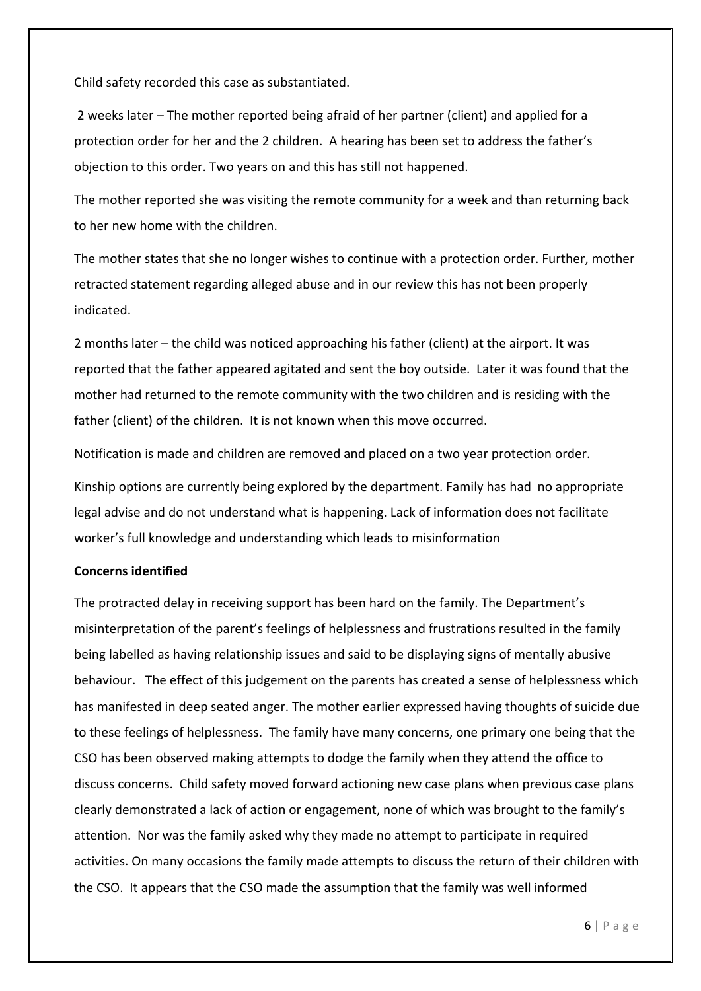Child safety recorded this case as substantiated.

2 weeks later – The mother reported being afraid of her partner (client) and applied for a protection order for her and the 2 children. A hearing has been set to address the father's objection to this order. Two years on and this has still not happened.

The mother reported she was visiting the remote community for a week and than returning back to her new home with the children.

The mother states that she no longer wishes to continue with a protection order. Further, mother retracted statement regarding alleged abuse and in our review this has not been properly indicated.

2 months later – the child was noticed approaching his father (client) at the airport. It was reported that the father appeared agitated and sent the boy outside. Later it was found that the mother had returned to the remote community with the two children and is residing with the father (client) of the children. It is not known when this move occurred.

Notification is made and children are removed and placed on a two year protection order.

Kinship options are currently being explored by the department. Family has had no appropriate legal advise and do not understand what is happening. Lack of information does not facilitate worker's full knowledge and understanding which leads to misinformation

### **Concerns identified**

The protracted delay in receiving support has been hard on the family. The Department's misinterpretation of the parent's feelings of helplessness and frustrations resulted in the family being labelled as having relationship issues and said to be displaying signs of mentally abusive behaviour. The effect of this judgement on the parents has created a sense of helplessness which has manifested in deep seated anger. The mother earlier expressed having thoughts of suicide due to these feelings of helplessness. The family have many concerns, one primary one being that the CSO has been observed making attempts to dodge the family when they attend the office to discuss concerns. Child safety moved forward actioning new case plans when previous case plans clearly demonstrated a lack of action or engagement, none of which was brought to the family's attention. Nor was the family asked why they made no attempt to participate in required activities. On many occasions the family made attempts to discuss the return of their children with the CSO. It appears that the CSO made the assumption that the family was well informed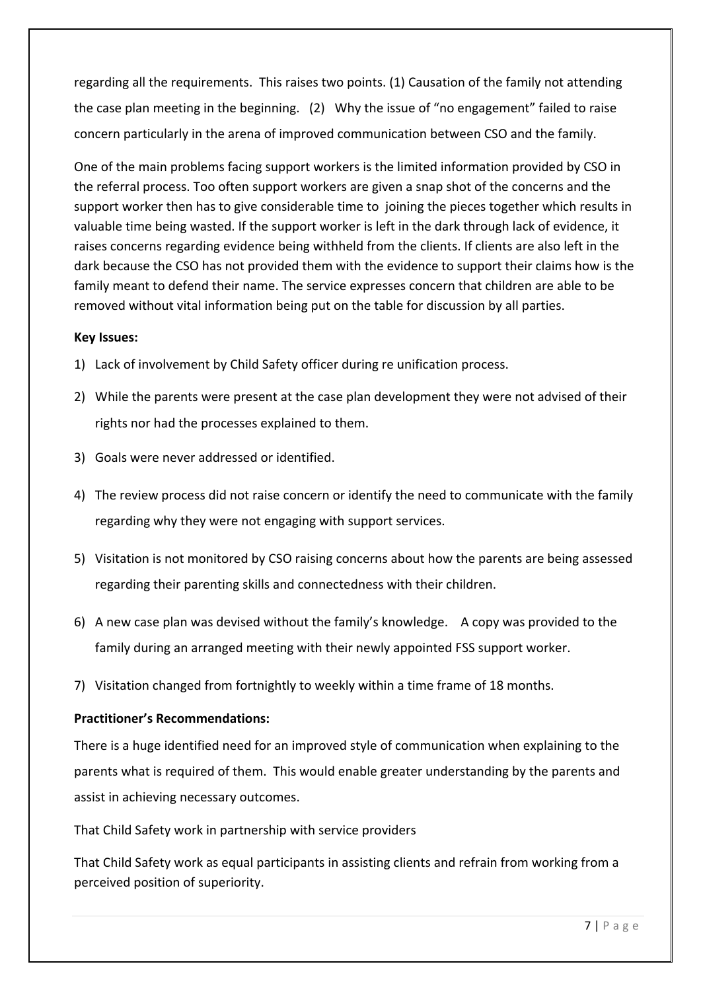regarding all the requirements. This raises two points. (1) Causation of the family not attending the case plan meeting in the beginning. (2) Why the issue of "no engagement" failed to raise concern particularly in the arena of improved communication between CSO and the family.

One of the main problems facing support workers is the limited information provided by CSO in the referral process. Too often support workers are given a snap shot of the concerns and the support worker then has to give considerable time to joining the pieces together which results in valuable time being wasted. If the support worker is left in the dark through lack of evidence, it raises concerns regarding evidence being withheld from the clients. If clients are also left in the dark because the CSO has not provided them with the evidence to support their claims how is the family meant to defend their name. The service expresses concern that children are able to be removed without vital information being put on the table for discussion by all parties.

# **Key Issues:**

- 1) Lack of involvement by Child Safety officer during re unification process.
- 2) While the parents were present at the case plan development they were not advised of their rights nor had the processes explained to them.
- 3) Goals were never addressed or identified.
- 4) The review process did not raise concern or identify the need to communicate with the family regarding why they were not engaging with support services.
- 5) Visitation is not monitored by CSO raising concerns about how the parents are being assessed regarding their parenting skills and connectedness with their children.
- 6) A new case plan was devised without the family's knowledge. A copy was provided to the family during an arranged meeting with their newly appointed FSS support worker.
- 7) Visitation changed from fortnightly to weekly within a time frame of 18 months.

# **Practitioner's Recommendations:**

There is a huge identified need for an improved style of communication when explaining to the parents what is required of them. This would enable greater understanding by the parents and assist in achieving necessary outcomes.

That Child Safety work in partnership with service providers

That Child Safety work as equal participants in assisting clients and refrain from working from a perceived position of superiority.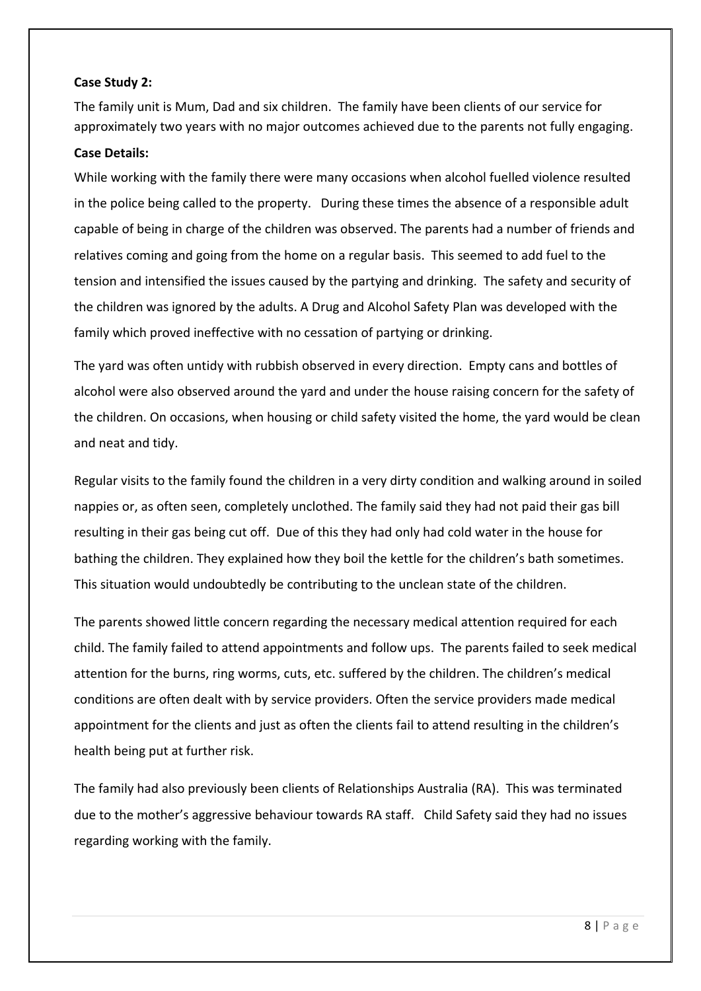### **Case Study 2:**

The family unit is Mum, Dad and six children. The family have been clients of our service for approximately two years with no major outcomes achieved due to the parents not fully engaging.

### **Case Details:**

While working with the family there were many occasions when alcohol fuelled violence resulted in the police being called to the property. During these times the absence of a responsible adult capable of being in charge of the children was observed. The parents had a number of friends and relatives coming and going from the home on a regular basis. This seemed to add fuel to the tension and intensified the issues caused by the partying and drinking. The safety and security of the children was ignored by the adults. A Drug and Alcohol Safety Plan was developed with the family which proved ineffective with no cessation of partying or drinking.

The yard was often untidy with rubbish observed in every direction. Empty cans and bottles of alcohol were also observed around the yard and under the house raising concern for the safety of the children. On occasions, when housing or child safety visited the home, the yard would be clean and neat and tidy.

Regular visits to the family found the children in a very dirty condition and walking around in soiled nappies or, as often seen, completely unclothed. The family said they had not paid their gas bill resulting in their gas being cut off. Due of this they had only had cold water in the house for bathing the children. They explained how they boil the kettle for the children's bath sometimes. This situation would undoubtedly be contributing to the unclean state of the children.

The parents showed little concern regarding the necessary medical attention required for each child. The family failed to attend appointments and follow ups. The parents failed to seek medical attention for the burns, ring worms, cuts, etc. suffered by the children. The children's medical conditions are often dealt with by service providers. Often the service providers made medical appointment for the clients and just as often the clients fail to attend resulting in the children's health being put at further risk.

The family had also previously been clients of Relationships Australia (RA). This was terminated due to the mother's aggressive behaviour towards RA staff. Child Safety said they had no issues regarding working with the family.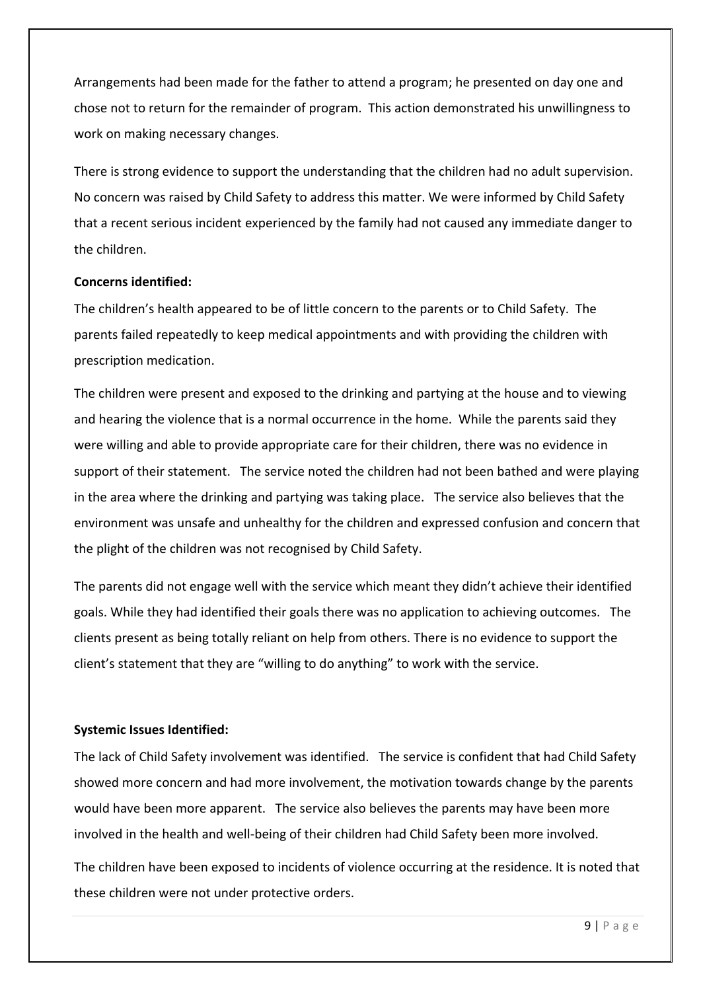Arrangements had been made for the father to attend a program; he presented on day one and chose not to return for the remainder of program. This action demonstrated his unwillingness to work on making necessary changes.

There is strong evidence to support the understanding that the children had no adult supervision. No concern was raised by Child Safety to address this matter. We were informed by Child Safety that a recent serious incident experienced by the family had not caused any immediate danger to the children.

### **Concerns identified:**

The children's health appeared to be of little concern to the parents or to Child Safety. The parents failed repeatedly to keep medical appointments and with providing the children with prescription medication.

The children were present and exposed to the drinking and partying at the house and to viewing and hearing the violence that is a normal occurrence in the home. While the parents said they were willing and able to provide appropriate care for their children, there was no evidence in support of their statement. The service noted the children had not been bathed and were playing in the area where the drinking and partying was taking place. The service also believes that the environment was unsafe and unhealthy for the children and expressed confusion and concern that the plight of the children was not recognised by Child Safety.

The parents did not engage well with the service which meant they didn't achieve their identified goals. While they had identified their goals there was no application to achieving outcomes. The clients present as being totally reliant on help from others. There is no evidence to support the client's statement that they are "willing to do anything" to work with the service.

### **Systemic Issues Identified:**

The lack of Child Safety involvement was identified. The service is confident that had Child Safety showed more concern and had more involvement, the motivation towards change by the parents would have been more apparent. The service also believes the parents may have been more involved in the health and well‐being of their children had Child Safety been more involved.

The children have been exposed to incidents of violence occurring at the residence. It is noted that these children were not under protective orders.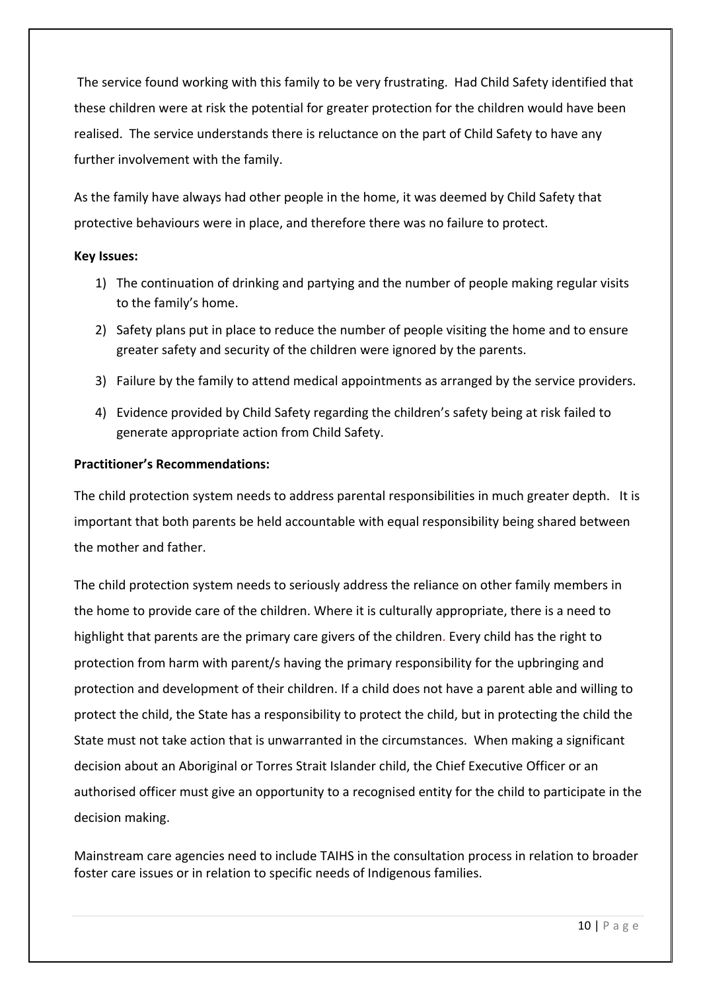The service found working with this family to be very frustrating. Had Child Safety identified that these children were at risk the potential for greater protection for the children would have been realised. The service understands there is reluctance on the part of Child Safety to have any further involvement with the family.

As the family have always had other people in the home, it was deemed by Child Safety that protective behaviours were in place, and therefore there was no failure to protect.

#### **Key Issues:**

- 1) The continuation of drinking and partying and the number of people making regular visits to the family's home.
- 2) Safety plans put in place to reduce the number of people visiting the home and to ensure greater safety and security of the children were ignored by the parents.
- 3) Failure by the family to attend medical appointments as arranged by the service providers.
- 4) Evidence provided by Child Safety regarding the children's safety being at risk failed to generate appropriate action from Child Safety.

#### **Practitioner's Recommendations:**

The child protection system needs to address parental responsibilities in much greater depth. It is important that both parents be held accountable with equal responsibility being shared between the mother and father.

The child protection system needs to seriously address the reliance on other family members in the home to provide care of the children. Where it is culturally appropriate, there is a need to highlight that parents are the primary care givers of the children. Every child has the right to protection from harm with parent/s having the primary responsibility for the upbringing and protection and development of their children. If a child does not have a parent able and willing to protect the child, the State has a responsibility to protect the child, but in protecting the child the State must not take action that is unwarranted in the circumstances. When making a significant decision about an Aboriginal or Torres Strait Islander child, the Chief Executive Officer or an authorised officer must give an opportunity to a recognised entity for the child to participate in the decision making.

Mainstream care agencies need to include TAIHS in the consultation process in relation to broader foster care issues or in relation to specific needs of Indigenous families.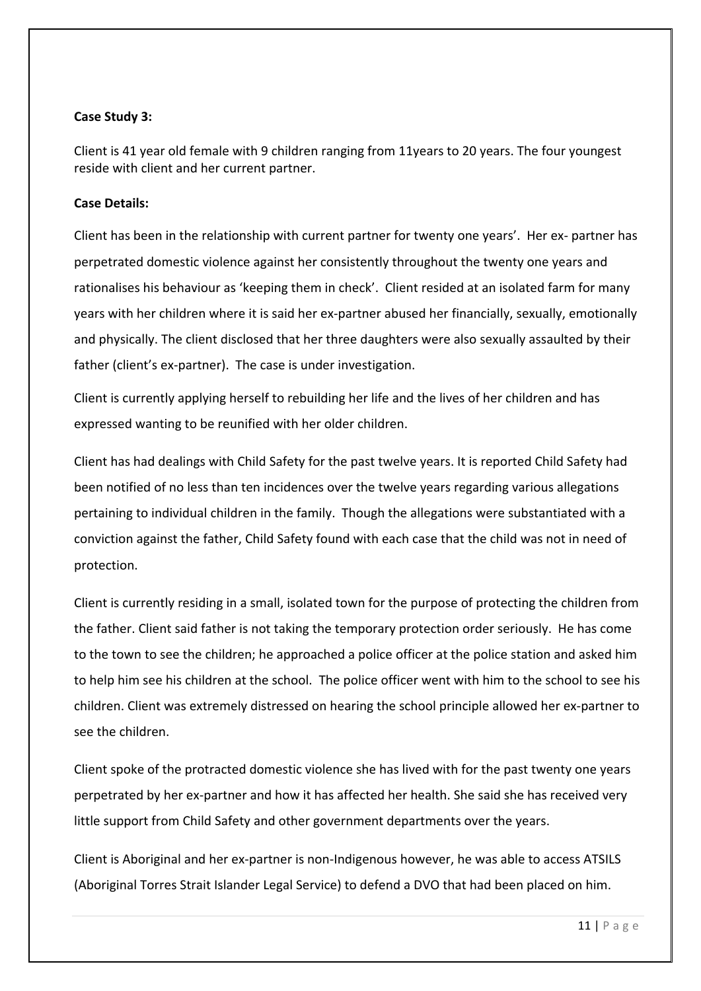# **Case Study 3:**

Client is 41 year old female with 9 children ranging from 11years to 20 years. The four youngest reside with client and her current partner.

# **Case Details:**

Client has been in the relationship with current partner for twenty one years'. Her ex‐ partner has perpetrated domestic violence against her consistently throughout the twenty one years and rationalises his behaviour as 'keeping them in check'. Client resided at an isolated farm for many years with her children where it is said her ex‐partner abused her financially, sexually, emotionally and physically. The client disclosed that her three daughters were also sexually assaulted by their father (client's ex-partner). The case is under investigation.

Client is currently applying herself to rebuilding her life and the lives of her children and has expressed wanting to be reunified with her older children.

Client has had dealings with Child Safety for the past twelve years. It is reported Child Safety had been notified of no less than ten incidences over the twelve years regarding various allegations pertaining to individual children in the family. Though the allegations were substantiated with a conviction against the father, Child Safety found with each case that the child was not in need of protection.

Client is currently residing in a small, isolated town for the purpose of protecting the children from the father. Client said father is not taking the temporary protection order seriously. He has come to the town to see the children; he approached a police officer at the police station and asked him to help him see his children at the school. The police officer went with him to the school to see his children. Client was extremely distressed on hearing the school principle allowed her ex‐partner to see the children.

Client spoke of the protracted domestic violence she has lived with for the past twenty one years perpetrated by her ex‐partner and how it has affected her health. She said she has received very little support from Child Safety and other government departments over the years.

Client is Aboriginal and her ex‐partner is non‐Indigenous however, he was able to access ATSILS (Aboriginal Torres Strait Islander Legal Service) to defend a DVO that had been placed on him.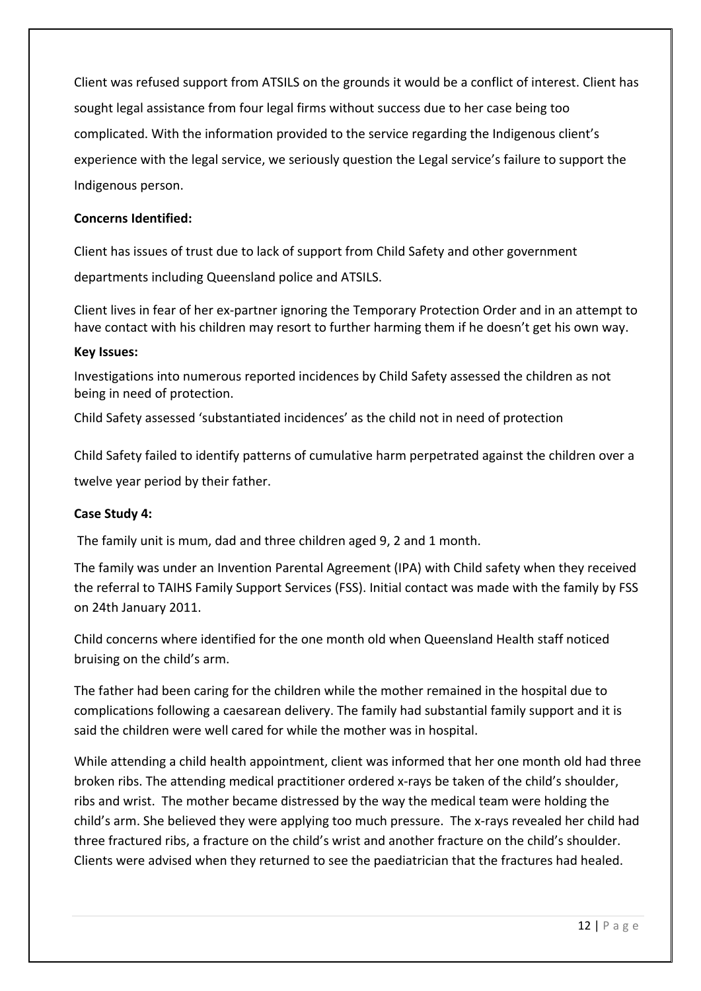Client was refused support from ATSILS on the grounds it would be a conflict of interest. Client has sought legal assistance from four legal firms without success due to her case being too complicated. With the information provided to the service regarding the Indigenous client's experience with the legal service, we seriously question the Legal service's failure to support the Indigenous person.

# **Concerns Identified:**

Client has issues of trust due to lack of support from Child Safety and other government

departments including Queensland police and ATSILS.

Client lives in fear of her ex‐partner ignoring the Temporary Protection Order and in an attempt to have contact with his children may resort to further harming them if he doesn't get his own way.

# **Key Issues:**

Investigations into numerous reported incidences by Child Safety assessed the children as not being in need of protection.

Child Safety assessed 'substantiated incidences' as the child not in need of protection

Child Safety failed to identify patterns of cumulative harm perpetrated against the children over a twelve year period by their father.

# **Case Study 4:**

The family unit is mum, dad and three children aged 9, 2 and 1 month.

The family was under an Invention Parental Agreement (IPA) with Child safety when they received the referral to TAIHS Family Support Services (FSS). Initial contact was made with the family by FSS on 24th January 2011.

Child concerns where identified for the one month old when Queensland Health staff noticed bruising on the child's arm.

The father had been caring for the children while the mother remained in the hospital due to complications following a caesarean delivery. The family had substantial family support and it is said the children were well cared for while the mother was in hospital.

While attending a child health appointment, client was informed that her one month old had three broken ribs. The attending medical practitioner ordered x‐rays be taken of the child's shoulder, ribs and wrist. The mother became distressed by the way the medical team were holding the child's arm. She believed they were applying too much pressure. The x‐rays revealed her child had three fractured ribs, a fracture on the child's wrist and another fracture on the child's shoulder. Clients were advised when they returned to see the paediatrician that the fractures had healed.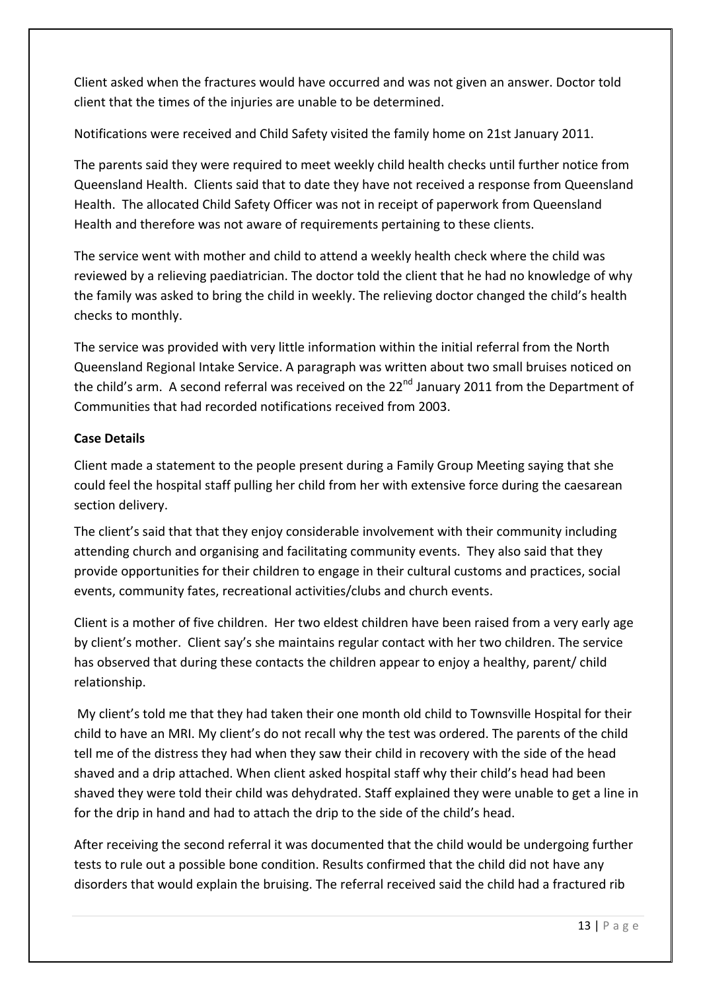Client asked when the fractures would have occurred and was not given an answer. Doctor told client that the times of the injuries are unable to be determined.

Notifications were received and Child Safety visited the family home on 21st January 2011.

The parents said they were required to meet weekly child health checks until further notice from Queensland Health. Clients said that to date they have not received a response from Queensland Health. The allocated Child Safety Officer was not in receipt of paperwork from Queensland Health and therefore was not aware of requirements pertaining to these clients.

The service went with mother and child to attend a weekly health check where the child was reviewed by a relieving paediatrician. The doctor told the client that he had no knowledge of why the family was asked to bring the child in weekly. The relieving doctor changed the child's health checks to monthly.

The service was provided with very little information within the initial referral from the North Queensland Regional Intake Service. A paragraph was written about two small bruises noticed on the child's arm. A second referral was received on the 22<sup>nd</sup> January 2011 from the Department of Communities that had recorded notifications received from 2003.

# **Case Details**

Client made a statement to the people present during a Family Group Meeting saying that she could feel the hospital staff pulling her child from her with extensive force during the caesarean section delivery.

The client's said that that they enjoy considerable involvement with their community including attending church and organising and facilitating community events. They also said that they provide opportunities for their children to engage in their cultural customs and practices, social events, community fates, recreational activities/clubs and church events.

Client is a mother of five children. Her two eldest children have been raised from a very early age by client's mother. Client say's she maintains regular contact with her two children. The service has observed that during these contacts the children appear to enjoy a healthy, parent/ child relationship.

My client's told me that they had taken their one month old child to Townsville Hospital for their child to have an MRI. My client's do not recall why the test was ordered. The parents of the child tell me of the distress they had when they saw their child in recovery with the side of the head shaved and a drip attached. When client asked hospital staff why their child's head had been shaved they were told their child was dehydrated. Staff explained they were unable to get a line in for the drip in hand and had to attach the drip to the side of the child's head.

After receiving the second referral it was documented that the child would be undergoing further tests to rule out a possible bone condition. Results confirmed that the child did not have any disorders that would explain the bruising. The referral received said the child had a fractured rib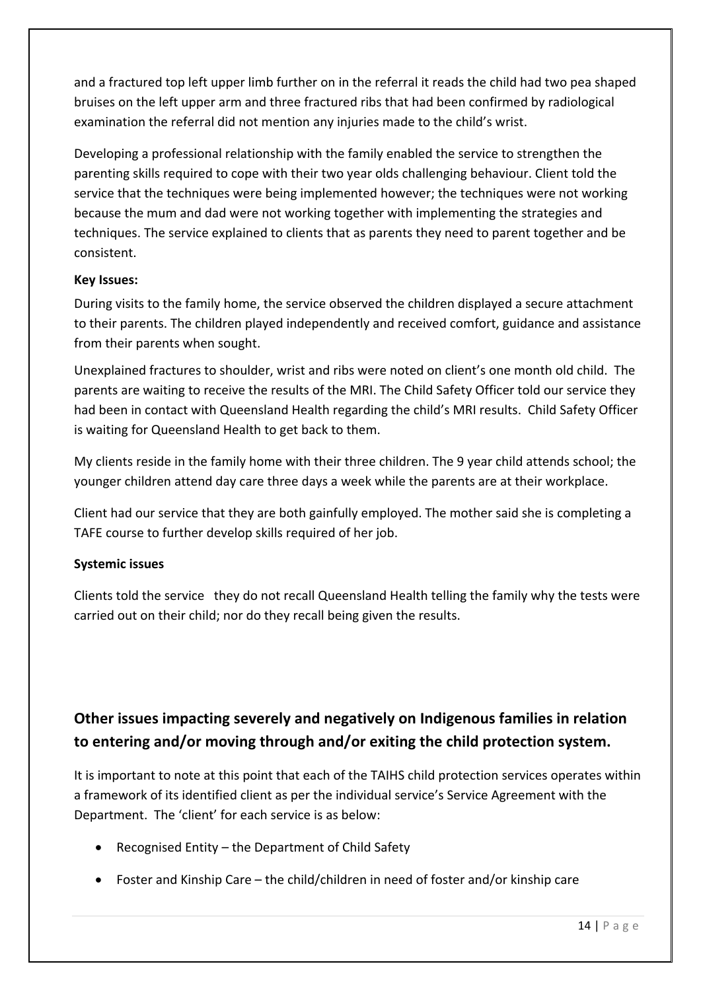and a fractured top left upper limb further on in the referral it reads the child had two pea shaped bruises on the left upper arm and three fractured ribs that had been confirmed by radiological examination the referral did not mention any injuries made to the child's wrist.

Developing a professional relationship with the family enabled the service to strengthen the parenting skills required to cope with their two year olds challenging behaviour. Client told the service that the techniques were being implemented however; the techniques were not working because the mum and dad were not working together with implementing the strategies and techniques. The service explained to clients that as parents they need to parent together and be consistent.

# **Key Issues:**

During visits to the family home, the service observed the children displayed a secure attachment to their parents. The children played independently and received comfort, guidance and assistance from their parents when sought.

Unexplained fractures to shoulder, wrist and ribs were noted on client's one month old child. The parents are waiting to receive the results of the MRI. The Child Safety Officer told our service they had been in contact with Queensland Health regarding the child's MRI results. Child Safety Officer is waiting for Queensland Health to get back to them.

My clients reside in the family home with their three children. The 9 year child attends school; the younger children attend day care three days a week while the parents are at their workplace.

Client had our service that they are both gainfully employed. The mother said she is completing a TAFE course to further develop skills required of her job.

# **Systemic issues**

Clients told the service they do not recall Queensland Health telling the family why the tests were carried out on their child; nor do they recall being given the results.

# **Other issues impacting severely and negatively on Indigenous families in relation to entering and/or moving through and/or exiting the child protection system.**

It is important to note at this point that each of the TAIHS child protection services operates within a framework of its identified client as per the individual service's Service Agreement with the Department. The 'client' for each service is as below:

- Recognised Entity the Department of Child Safety
- Foster and Kinship Care the child/children in need of foster and/or kinship care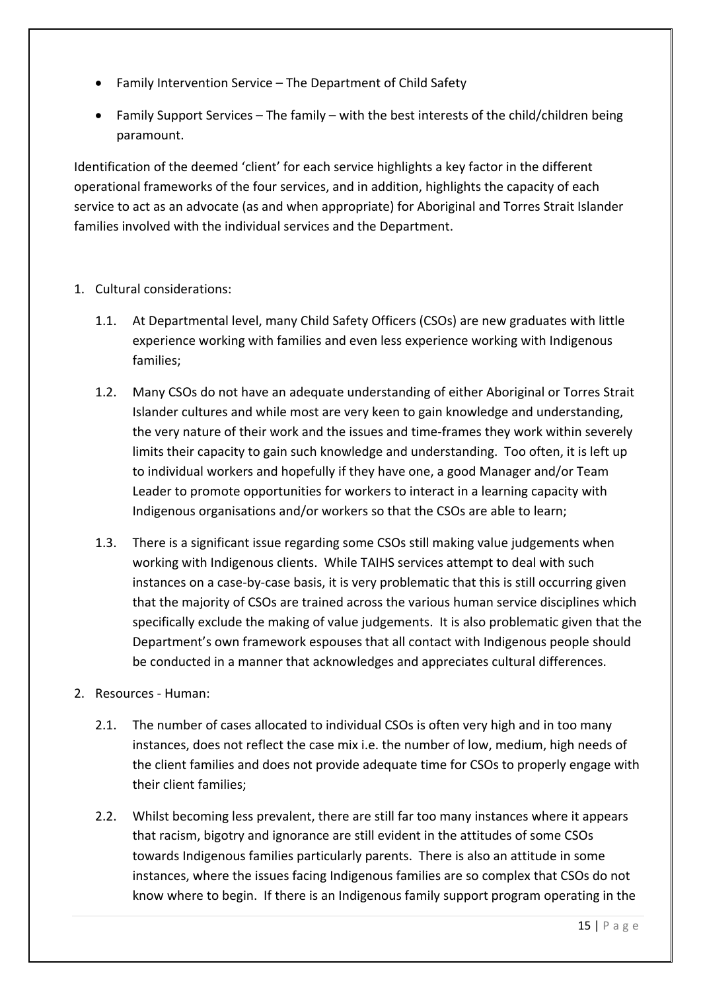- Family Intervention Service The Department of Child Safety
- Family Support Services The family with the best interests of the child/children being paramount.

Identification of the deemed 'client' for each service highlights a key factor in the different operational frameworks of the four services, and in addition, highlights the capacity of each service to act as an advocate (as and when appropriate) for Aboriginal and Torres Strait Islander families involved with the individual services and the Department.

# 1. Cultural considerations:

- 1.1. At Departmental level, many Child Safety Officers (CSOs) are new graduates with little experience working with families and even less experience working with Indigenous families;
- 1.2. Many CSOs do not have an adequate understanding of either Aboriginal or Torres Strait Islander cultures and while most are very keen to gain knowledge and understanding, the very nature of their work and the issues and time‐frames they work within severely limits their capacity to gain such knowledge and understanding. Too often, it is left up to individual workers and hopefully if they have one, a good Manager and/or Team Leader to promote opportunities for workers to interact in a learning capacity with Indigenous organisations and/or workers so that the CSOs are able to learn;
- 1.3. There is a significant issue regarding some CSOs still making value judgements when working with Indigenous clients. While TAIHS services attempt to deal with such instances on a case‐by‐case basis, it is very problematic that this is still occurring given that the majority of CSOs are trained across the various human service disciplines which specifically exclude the making of value judgements. It is also problematic given that the Department's own framework espouses that all contact with Indigenous people should be conducted in a manner that acknowledges and appreciates cultural differences.

# 2. Resources ‐ Human:

- 2.1. The number of cases allocated to individual CSOs is often very high and in too many instances, does not reflect the case mix i.e. the number of low, medium, high needs of the client families and does not provide adequate time for CSOs to properly engage with their client families;
- 2.2. Whilst becoming less prevalent, there are still far too many instances where it appears that racism, bigotry and ignorance are still evident in the attitudes of some CSOs towards Indigenous families particularly parents. There is also an attitude in some instances, where the issues facing Indigenous families are so complex that CSOs do not know where to begin. If there is an Indigenous family support program operating in the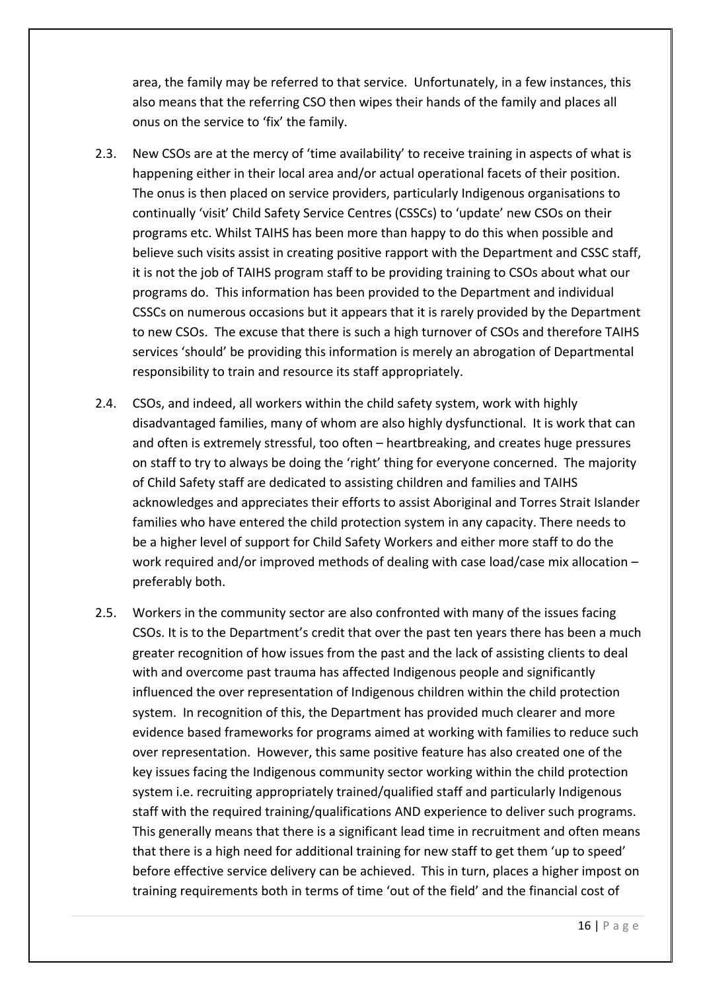area, the family may be referred to that service. Unfortunately, in a few instances, this also means that the referring CSO then wipes their hands of the family and places all onus on the service to 'fix' the family.

- 2.3. New CSOs are at the mercy of 'time availability' to receive training in aspects of what is happening either in their local area and/or actual operational facets of their position. The onus is then placed on service providers, particularly Indigenous organisations to continually 'visit' Child Safety Service Centres (CSSCs) to 'update' new CSOs on their programs etc. Whilst TAIHS has been more than happy to do this when possible and believe such visits assist in creating positive rapport with the Department and CSSC staff, it is not the job of TAIHS program staff to be providing training to CSOs about what our programs do. This information has been provided to the Department and individual CSSCs on numerous occasions but it appears that it is rarely provided by the Department to new CSOs. The excuse that there is such a high turnover of CSOs and therefore TAIHS services 'should' be providing this information is merely an abrogation of Departmental responsibility to train and resource its staff appropriately.
- 2.4. CSOs, and indeed, all workers within the child safety system, work with highly disadvantaged families, many of whom are also highly dysfunctional. It is work that can and often is extremely stressful, too often – heartbreaking, and creates huge pressures on staff to try to always be doing the 'right' thing for everyone concerned. The majority of Child Safety staff are dedicated to assisting children and families and TAIHS acknowledges and appreciates their efforts to assist Aboriginal and Torres Strait Islander families who have entered the child protection system in any capacity. There needs to be a higher level of support for Child Safety Workers and either more staff to do the work required and/or improved methods of dealing with case load/case mix allocation – preferably both.
- 2.5. Workers in the community sector are also confronted with many of the issues facing CSOs. It is to the Department's credit that over the past ten years there has been a much greater recognition of how issues from the past and the lack of assisting clients to deal with and overcome past trauma has affected Indigenous people and significantly influenced the over representation of Indigenous children within the child protection system. In recognition of this, the Department has provided much clearer and more evidence based frameworks for programs aimed at working with families to reduce such over representation. However, this same positive feature has also created one of the key issues facing the Indigenous community sector working within the child protection system i.e. recruiting appropriately trained/qualified staff and particularly Indigenous staff with the required training/qualifications AND experience to deliver such programs. This generally means that there is a significant lead time in recruitment and often means that there is a high need for additional training for new staff to get them 'up to speed' before effective service delivery can be achieved. This in turn, places a higher impost on training requirements both in terms of time 'out of the field' and the financial cost of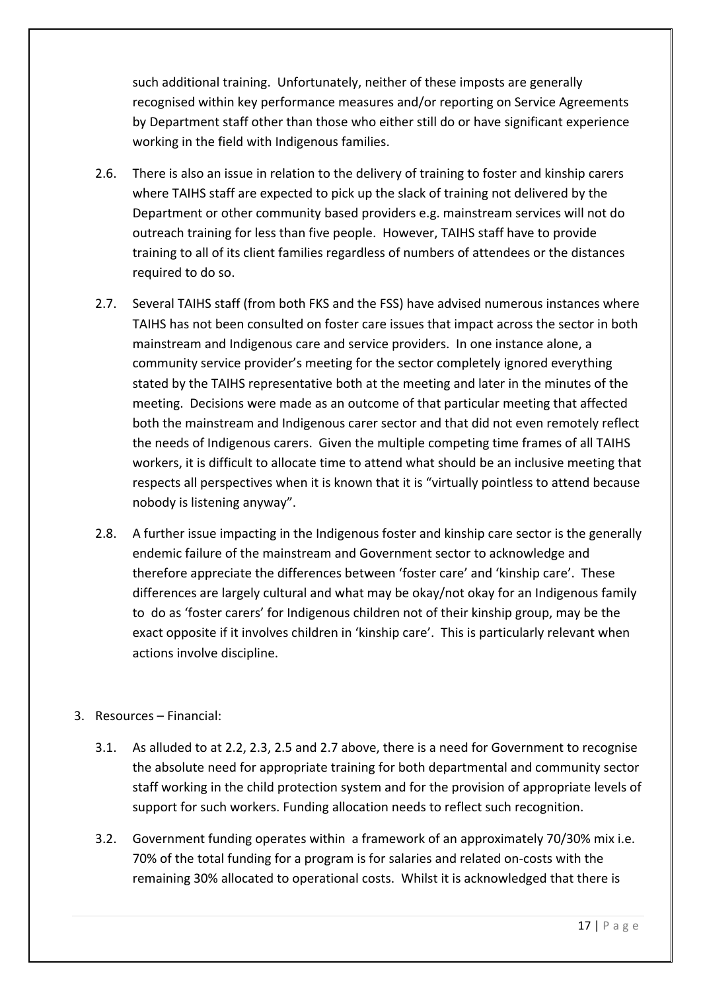such additional training. Unfortunately, neither of these imposts are generally recognised within key performance measures and/or reporting on Service Agreements by Department staff other than those who either still do or have significant experience working in the field with Indigenous families.

- 2.6. There is also an issue in relation to the delivery of training to foster and kinship carers where TAIHS staff are expected to pick up the slack of training not delivered by the Department or other community based providers e.g. mainstream services will not do outreach training for less than five people. However, TAIHS staff have to provide training to all of its client families regardless of numbers of attendees or the distances required to do so.
- 2.7. Several TAIHS staff (from both FKS and the FSS) have advised numerous instances where TAIHS has not been consulted on foster care issues that impact across the sector in both mainstream and Indigenous care and service providers. In one instance alone, a community service provider's meeting for the sector completely ignored everything stated by the TAIHS representative both at the meeting and later in the minutes of the meeting. Decisions were made as an outcome of that particular meeting that affected both the mainstream and Indigenous carer sector and that did not even remotely reflect the needs of Indigenous carers. Given the multiple competing time frames of all TAIHS workers, it is difficult to allocate time to attend what should be an inclusive meeting that respects all perspectives when it is known that it is "virtually pointless to attend because nobody is listening anyway".
- 2.8. A further issue impacting in the Indigenous foster and kinship care sector is the generally endemic failure of the mainstream and Government sector to acknowledge and therefore appreciate the differences between 'foster care' and 'kinship care'. These differences are largely cultural and what may be okay/not okay for an Indigenous family to do as 'foster carers' for Indigenous children not of their kinship group, may be the exact opposite if it involves children in 'kinship care'. This is particularly relevant when actions involve discipline.
- 3. Resources Financial:
	- 3.1. As alluded to at 2.2, 2.3, 2.5 and 2.7 above, there is a need for Government to recognise the absolute need for appropriate training for both departmental and community sector staff working in the child protection system and for the provision of appropriate levels of support for such workers. Funding allocation needs to reflect such recognition.
	- 3.2. Government funding operates within a framework of an approximately 70/30% mix i.e. 70% of the total funding for a program is for salaries and related on‐costs with the remaining 30% allocated to operational costs. Whilst it is acknowledged that there is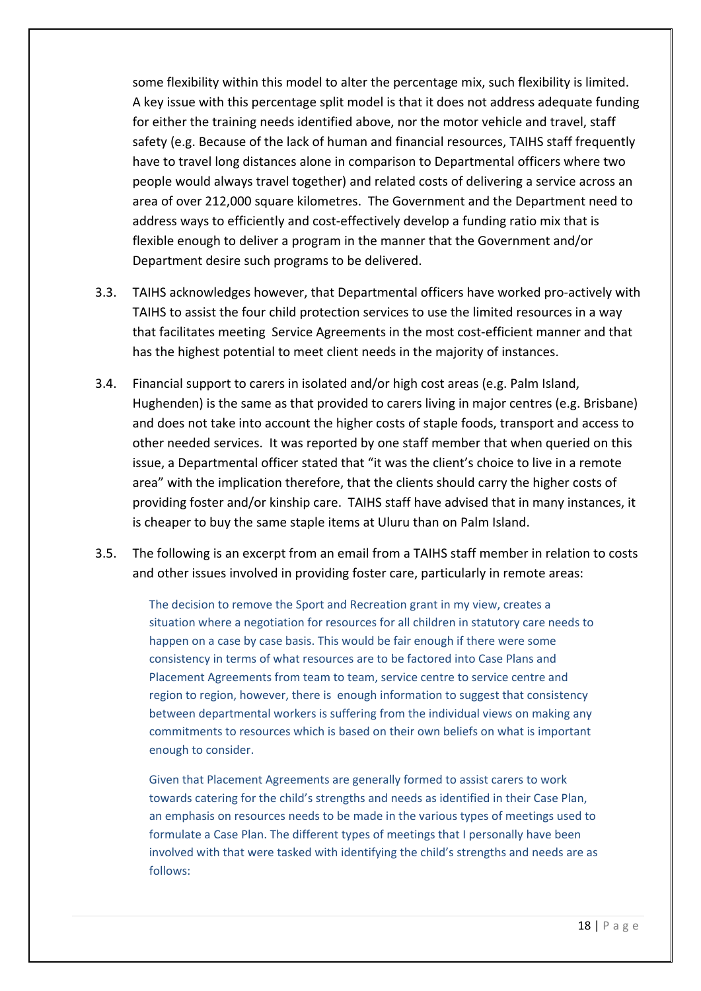some flexibility within this model to alter the percentage mix, such flexibility is limited. A key issue with this percentage split model is that it does not address adequate funding for either the training needs identified above, nor the motor vehicle and travel, staff safety (e.g. Because of the lack of human and financial resources, TAIHS staff frequently have to travel long distances alone in comparison to Departmental officers where two people would always travel together) and related costs of delivering a service across an area of over 212,000 square kilometres. The Government and the Department need to address ways to efficiently and cost-effectively develop a funding ratio mix that is flexible enough to deliver a program in the manner that the Government and/or Department desire such programs to be delivered.

- 3.3. TAIHS acknowledges however, that Departmental officers have worked pro‐actively with TAIHS to assist the four child protection services to use the limited resources in a way that facilitates meeting Service Agreements in the most cost-efficient manner and that has the highest potential to meet client needs in the majority of instances.
- 3.4. Financial support to carers in isolated and/or high cost areas (e.g. Palm Island, Hughenden) is the same as that provided to carers living in major centres (e.g. Brisbane) and does not take into account the higher costs of staple foods, transport and access to other needed services. It was reported by one staff member that when queried on this issue, a Departmental officer stated that "it was the client's choice to live in a remote area" with the implication therefore, that the clients should carry the higher costs of providing foster and/or kinship care. TAIHS staff have advised that in many instances, it is cheaper to buy the same staple items at Uluru than on Palm Island.
- 3.5. The following is an excerpt from an email from a TAIHS staff member in relation to costs and other issues involved in providing foster care, particularly in remote areas:

The decision to remove the Sport and Recreation grant in my view, creates a situation where a negotiation for resources for all children in statutory care needs to happen on a case by case basis. This would be fair enough if there were some consistency in terms of what resources are to be factored into Case Plans and Placement Agreements from team to team, service centre to service centre and region to region, however, there is enough information to suggest that consistency between departmental workers is suffering from the individual views on making any commitments to resources which is based on their own beliefs on what is important enough to consider.

Given that Placement Agreements are generally formed to assist carers to work towards catering for the child's strengths and needs as identified in their Case Plan, an emphasis on resources needs to be made in the various types of meetings used to formulate a Case Plan. The different types of meetings that I personally have been involved with that were tasked with identifying the child's strengths and needs are as follows: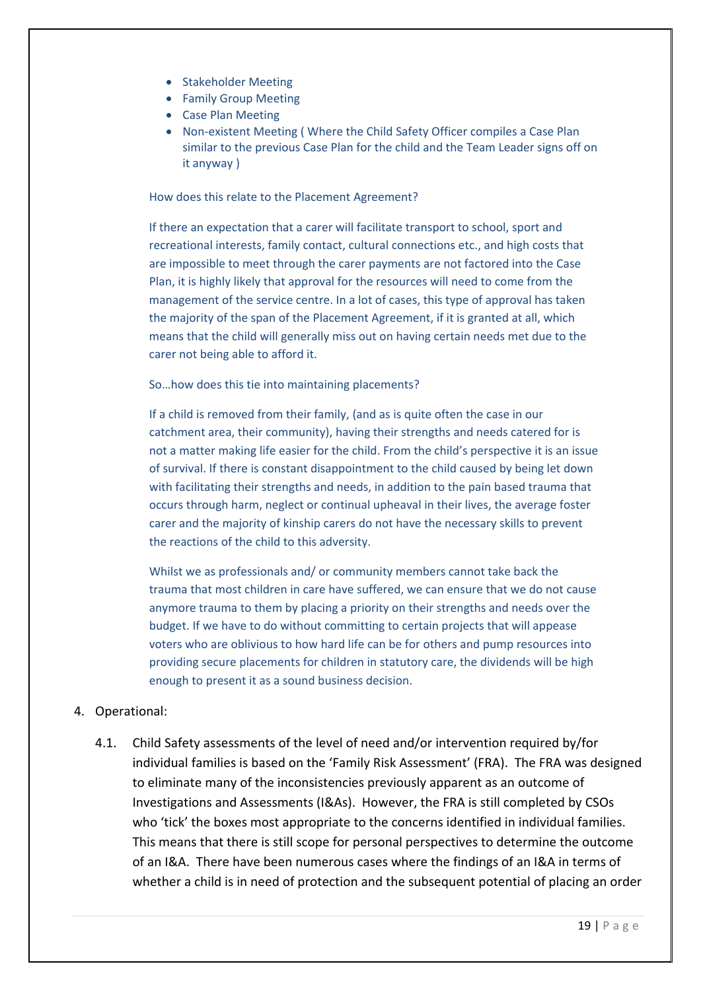- Stakeholder Meeting
- Family Group Meeting
- Case Plan Meeting
- Non-existent Meeting (Where the Child Safety Officer compiles a Case Plan similar to the previous Case Plan for the child and the Team Leader signs off on it anyway )

#### How does this relate to the Placement Agreement?

If there an expectation that a carer will facilitate transport to school, sport and recreational interests, family contact, cultural connections etc., and high costs that are impossible to meet through the carer payments are not factored into the Case Plan, it is highly likely that approval for the resources will need to come from the management of the service centre. In a lot of cases, this type of approval has taken the majority of the span of the Placement Agreement, if it is granted at all, which means that the child will generally miss out on having certain needs met due to the carer not being able to afford it.

#### So…how does this tie into maintaining placements?

If a child is removed from their family, (and as is quite often the case in our catchment area, their community), having their strengths and needs catered for is not a matter making life easier for the child. From the child's perspective it is an issue of survival. If there is constant disappointment to the child caused by being let down with facilitating their strengths and needs, in addition to the pain based trauma that occurs through harm, neglect or continual upheaval in their lives, the average foster carer and the majority of kinship carers do not have the necessary skills to prevent the reactions of the child to this adversity.

Whilst we as professionals and/ or community members cannot take back the trauma that most children in care have suffered, we can ensure that we do not cause anymore trauma to them by placing a priority on their strengths and needs over the budget. If we have to do without committing to certain projects that will appease voters who are oblivious to how hard life can be for others and pump resources into providing secure placements for children in statutory care, the dividends will be high enough to present it as a sound business decision.

### 4. Operational:

4.1. Child Safety assessments of the level of need and/or intervention required by/for individual families is based on the 'Family Risk Assessment' (FRA). The FRA was designed to eliminate many of the inconsistencies previously apparent as an outcome of Investigations and Assessments (I&As). However, the FRA is still completed by CSOs who 'tick' the boxes most appropriate to the concerns identified in individual families. This means that there is still scope for personal perspectives to determine the outcome of an I&A. There have been numerous cases where the findings of an I&A in terms of whether a child is in need of protection and the subsequent potential of placing an order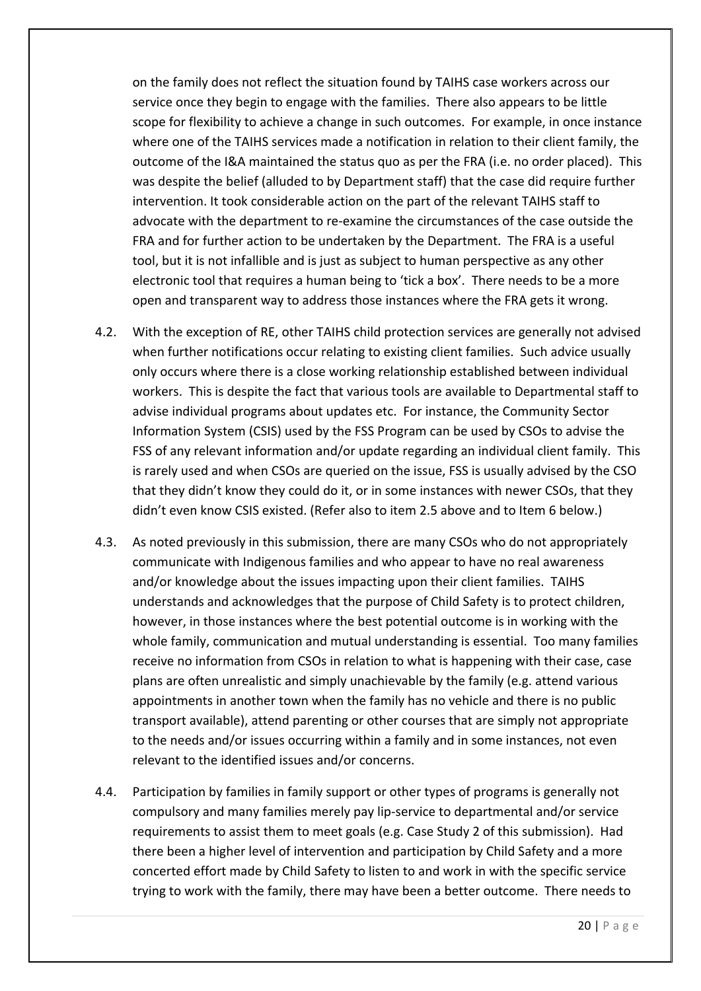on the family does not reflect the situation found by TAIHS case workers across our service once they begin to engage with the families. There also appears to be little scope for flexibility to achieve a change in such outcomes. For example, in once instance where one of the TAIHS services made a notification in relation to their client family, the outcome of the I&A maintained the status quo as per the FRA (i.e. no order placed). This was despite the belief (alluded to by Department staff) that the case did require further intervention. It took considerable action on the part of the relevant TAIHS staff to advocate with the department to re‐examine the circumstances of the case outside the FRA and for further action to be undertaken by the Department. The FRA is a useful tool, but it is not infallible and is just as subject to human perspective as any other electronic tool that requires a human being to 'tick a box'. There needs to be a more open and transparent way to address those instances where the FRA gets it wrong.

- 4.2. With the exception of RE, other TAIHS child protection services are generally not advised when further notifications occur relating to existing client families. Such advice usually only occurs where there is a close working relationship established between individual workers. This is despite the fact that various tools are available to Departmental staff to advise individual programs about updates etc. For instance, the Community Sector Information System (CSIS) used by the FSS Program can be used by CSOs to advise the FSS of any relevant information and/or update regarding an individual client family. This is rarely used and when CSOs are queried on the issue, FSS is usually advised by the CSO that they didn't know they could do it, or in some instances with newer CSOs, that they didn't even know CSIS existed. (Refer also to item 2.5 above and to Item 6 below.)
- 4.3. As noted previously in this submission, there are many CSOs who do not appropriately communicate with Indigenous families and who appear to have no real awareness and/or knowledge about the issues impacting upon their client families. TAIHS understands and acknowledges that the purpose of Child Safety is to protect children, however, in those instances where the best potential outcome is in working with the whole family, communication and mutual understanding is essential. Too many families receive no information from CSOs in relation to what is happening with their case, case plans are often unrealistic and simply unachievable by the family (e.g. attend various appointments in another town when the family has no vehicle and there is no public transport available), attend parenting or other courses that are simply not appropriate to the needs and/or issues occurring within a family and in some instances, not even relevant to the identified issues and/or concerns.
- 4.4. Participation by families in family support or other types of programs is generally not compulsory and many families merely pay lip‐service to departmental and/or service requirements to assist them to meet goals (e.g. Case Study 2 of this submission). Had there been a higher level of intervention and participation by Child Safety and a more concerted effort made by Child Safety to listen to and work in with the specific service trying to work with the family, there may have been a better outcome. There needs to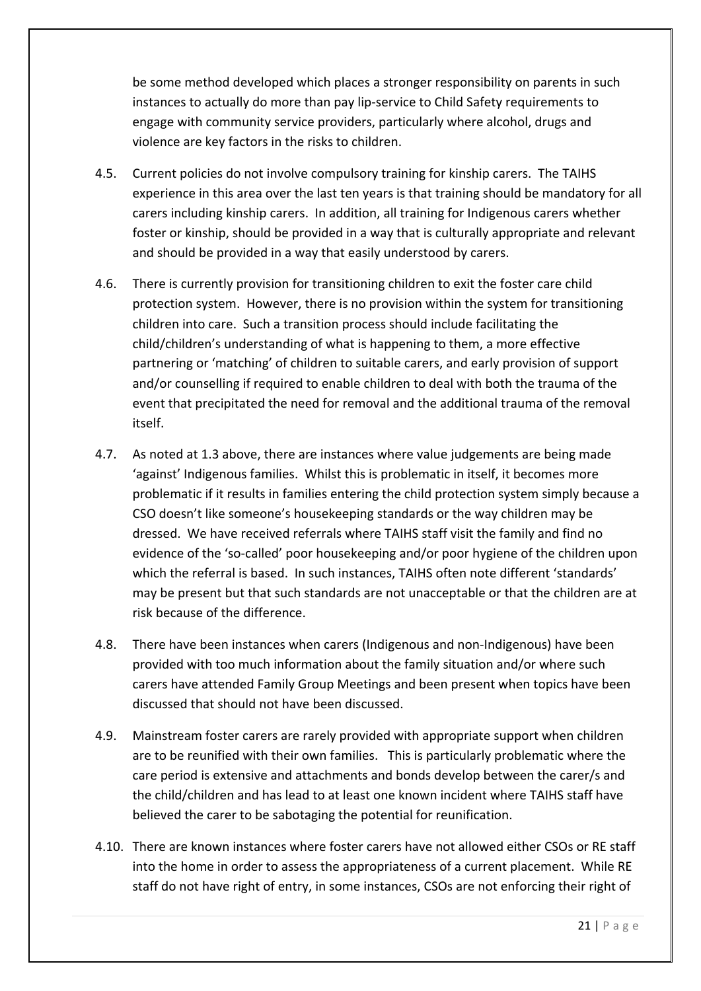be some method developed which places a stronger responsibility on parents in such instances to actually do more than pay lip‐service to Child Safety requirements to engage with community service providers, particularly where alcohol, drugs and violence are key factors in the risks to children.

- 4.5. Current policies do not involve compulsory training for kinship carers. The TAIHS experience in this area over the last ten years is that training should be mandatory for all carers including kinship carers. In addition, all training for Indigenous carers whether foster or kinship, should be provided in a way that is culturally appropriate and relevant and should be provided in a way that easily understood by carers.
- 4.6. There is currently provision for transitioning children to exit the foster care child protection system. However, there is no provision within the system for transitioning children into care. Such a transition process should include facilitating the child/children's understanding of what is happening to them, a more effective partnering or 'matching' of children to suitable carers, and early provision of support and/or counselling if required to enable children to deal with both the trauma of the event that precipitated the need for removal and the additional trauma of the removal itself.
- 4.7. As noted at 1.3 above, there are instances where value judgements are being made 'against' Indigenous families. Whilst this is problematic in itself, it becomes more problematic if it results in families entering the child protection system simply because a CSO doesn't like someone's housekeeping standards or the way children may be dressed. We have received referrals where TAIHS staff visit the family and find no evidence of the 'so-called' poor housekeeping and/or poor hygiene of the children upon which the referral is based. In such instances, TAIHS often note different 'standards' may be present but that such standards are not unacceptable or that the children are at risk because of the difference.
- 4.8. There have been instances when carers (Indigenous and non-Indigenous) have been provided with too much information about the family situation and/or where such carers have attended Family Group Meetings and been present when topics have been discussed that should not have been discussed.
- 4.9. Mainstream foster carers are rarely provided with appropriate support when children are to be reunified with their own families. This is particularly problematic where the care period is extensive and attachments and bonds develop between the carer/s and the child/children and has lead to at least one known incident where TAIHS staff have believed the carer to be sabotaging the potential for reunification.
- 4.10. There are known instances where foster carers have not allowed either CSOs or RE staff into the home in order to assess the appropriateness of a current placement. While RE staff do not have right of entry, in some instances, CSOs are not enforcing their right of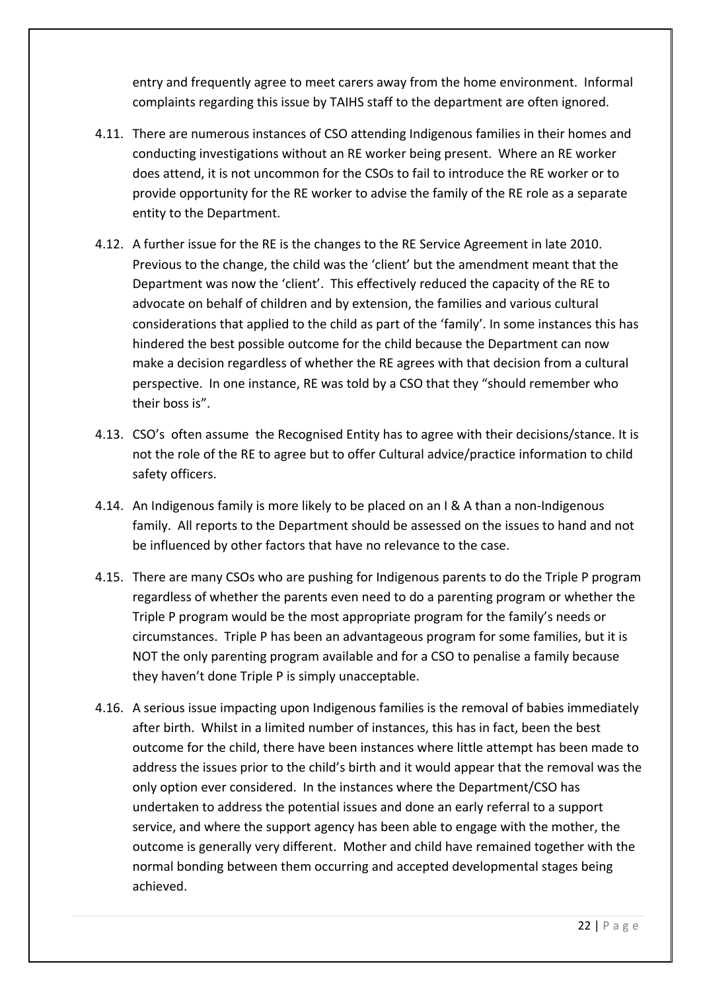entry and frequently agree to meet carers away from the home environment. Informal complaints regarding this issue by TAIHS staff to the department are often ignored.

- 4.11. There are numerous instances of CSO attending Indigenous families in their homes and conducting investigations without an RE worker being present. Where an RE worker does attend, it is not uncommon for the CSOs to fail to introduce the RE worker or to provide opportunity for the RE worker to advise the family of the RE role as a separate entity to the Department.
- 4.12. A further issue for the RE is the changes to the RE Service Agreement in late 2010. Previous to the change, the child was the 'client' but the amendment meant that the Department was now the 'client'. This effectively reduced the capacity of the RE to advocate on behalf of children and by extension, the families and various cultural considerations that applied to the child as part of the 'family'. In some instances this has hindered the best possible outcome for the child because the Department can now make a decision regardless of whether the RE agrees with that decision from a cultural perspective. In one instance, RE was told by a CSO that they "should remember who their boss is".
- 4.13. CSO's often assume the Recognised Entity has to agree with their decisions/stance. It is not the role of the RE to agree but to offer Cultural advice/practice information to child safety officers.
- 4.14. An Indigenous family is more likely to be placed on an I & A than a non-Indigenous family. All reports to the Department should be assessed on the issues to hand and not be influenced by other factors that have no relevance to the case.
- 4.15. There are many CSOs who are pushing for Indigenous parents to do the Triple P program regardless of whether the parents even need to do a parenting program or whether the Triple P program would be the most appropriate program for the family's needs or circumstances. Triple P has been an advantageous program for some families, but it is NOT the only parenting program available and for a CSO to penalise a family because they haven't done Triple P is simply unacceptable.
- 4.16. A serious issue impacting upon Indigenous families is the removal of babies immediately after birth. Whilst in a limited number of instances, this has in fact, been the best outcome for the child, there have been instances where little attempt has been made to address the issues prior to the child's birth and it would appear that the removal was the only option ever considered. In the instances where the Department/CSO has undertaken to address the potential issues and done an early referral to a support service, and where the support agency has been able to engage with the mother, the outcome is generally very different. Mother and child have remained together with the normal bonding between them occurring and accepted developmental stages being achieved.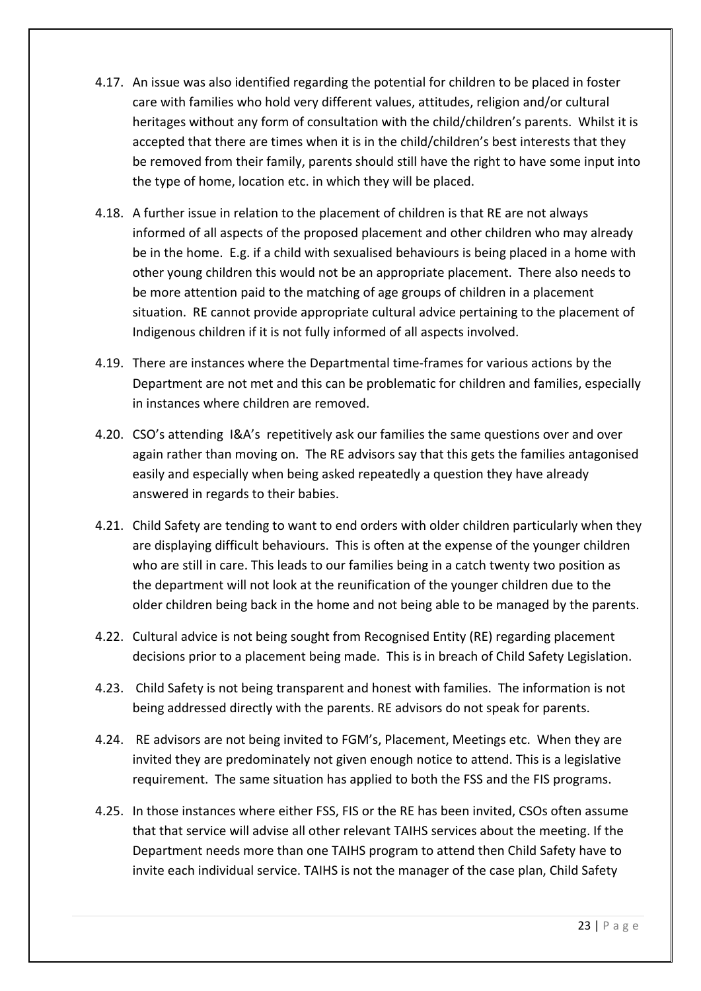- 4.17. An issue was also identified regarding the potential for children to be placed in foster care with families who hold very different values, attitudes, religion and/or cultural heritages without any form of consultation with the child/children's parents. Whilst it is accepted that there are times when it is in the child/children's best interests that they be removed from their family, parents should still have the right to have some input into the type of home, location etc. in which they will be placed.
- 4.18. A further issue in relation to the placement of children is that RE are not always informed of all aspects of the proposed placement and other children who may already be in the home. E.g. if a child with sexualised behaviours is being placed in a home with other young children this would not be an appropriate placement. There also needs to be more attention paid to the matching of age groups of children in a placement situation. RE cannot provide appropriate cultural advice pertaining to the placement of Indigenous children if it is not fully informed of all aspects involved.
- 4.19. There are instances where the Departmental time-frames for various actions by the Department are not met and this can be problematic for children and families, especially in instances where children are removed.
- 4.20. CSO's attending I&A's repetitively ask our families the same questions over and over again rather than moving on. The RE advisors say that this gets the families antagonised easily and especially when being asked repeatedly a question they have already answered in regards to their babies.
- 4.21. Child Safety are tending to want to end orders with older children particularly when they are displaying difficult behaviours. This is often at the expense of the younger children who are still in care. This leads to our families being in a catch twenty two position as the department will not look at the reunification of the younger children due to the older children being back in the home and not being able to be managed by the parents.
- 4.22. Cultural advice is not being sought from Recognised Entity (RE) regarding placement decisions prior to a placement being made. This is in breach of Child Safety Legislation.
- 4.23. Child Safety is not being transparent and honest with families. The information is not being addressed directly with the parents. RE advisors do not speak for parents.
- 4.24. RE advisors are not being invited to FGM's, Placement, Meetings etc. When they are invited they are predominately not given enough notice to attend. This is a legislative requirement. The same situation has applied to both the FSS and the FIS programs.
- 4.25. In those instances where either FSS, FIS or the RE has been invited, CSOs often assume that that service will advise all other relevant TAIHS services about the meeting. If the Department needs more than one TAIHS program to attend then Child Safety have to invite each individual service. TAIHS is not the manager of the case plan, Child Safety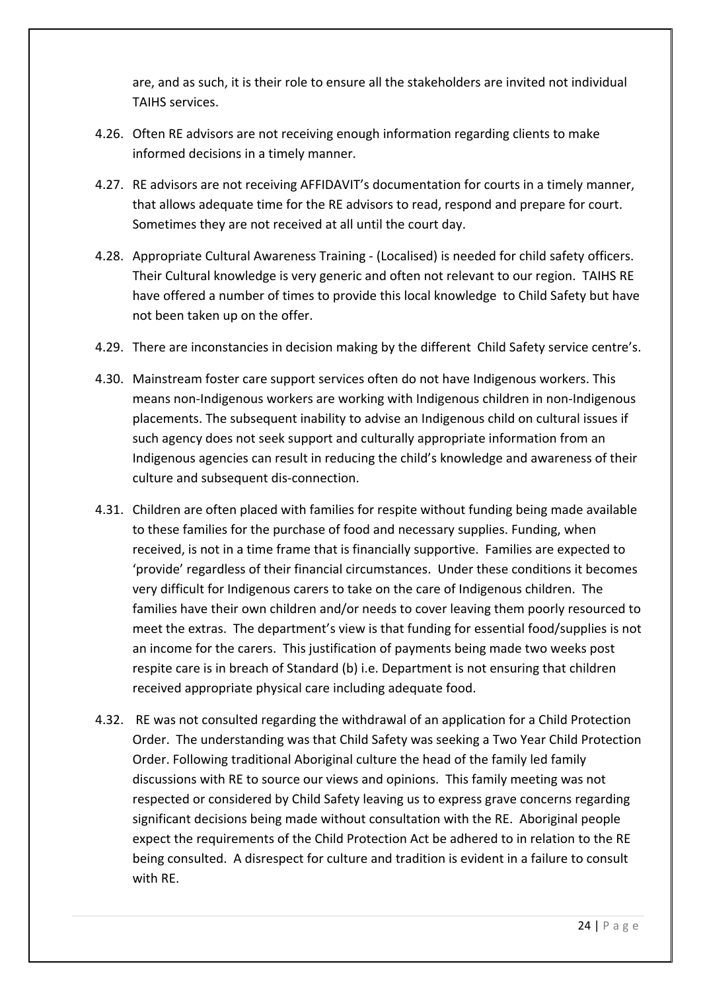are, and as such, it is their role to ensure all the stakeholders are invited not individual TAIHS services.

- 4.26. Often RE advisors are not receiving enough information regarding clients to make informed decisions in a timely manner.
- 4.27. RE advisors are not receiving AFFIDAVIT's documentation for courts in a timely manner, that allows adequate time for the RE advisors to read, respond and prepare for court. Sometimes they are not received at all until the court day.
- 4.28. Appropriate Cultural Awareness Training ‐ (Localised) is needed for child safety officers. Their Cultural knowledge is very generic and often not relevant to our region. TAIHS RE have offered a number of times to provide this local knowledge to Child Safety but have not been taken up on the offer.
- 4.29. There are inconstancies in decision making by the different Child Safety service centre's.
- 4.30. Mainstream foster care support services often do not have Indigenous workers. This means non-Indigenous workers are working with Indigenous children in non-Indigenous placements. The subsequent inability to advise an Indigenous child on cultural issues if such agency does not seek support and culturally appropriate information from an Indigenous agencies can result in reducing the child's knowledge and awareness of their culture and subsequent dis‐connection.
- 4.31. Children are often placed with families for respite without funding being made available to these families for the purchase of food and necessary supplies. Funding, when received, is not in a time frame that is financially supportive. Families are expected to 'provide' regardless of their financial circumstances. Under these conditions it becomes very difficult for Indigenous carers to take on the care of Indigenous children. The families have their own children and/or needs to cover leaving them poorly resourced to meet the extras. The department's view is that funding for essential food/supplies is not an income for the carers. This justification of payments being made two weeks post respite care is in breach of Standard (b) i.e. Department is not ensuring that children received appropriate physical care including adequate food.
- 4.32. RE was not consulted regarding the withdrawal of an application for a Child Protection Order. The understanding was that Child Safety was seeking a Two Year Child Protection Order. Following traditional Aboriginal culture the head of the family led family discussions with RE to source our views and opinions. This family meeting was not respected or considered by Child Safety leaving us to express grave concerns regarding significant decisions being made without consultation with the RE. Aboriginal people expect the requirements of the Child Protection Act be adhered to in relation to the RE being consulted. A disrespect for culture and tradition is evident in a failure to consult with RE.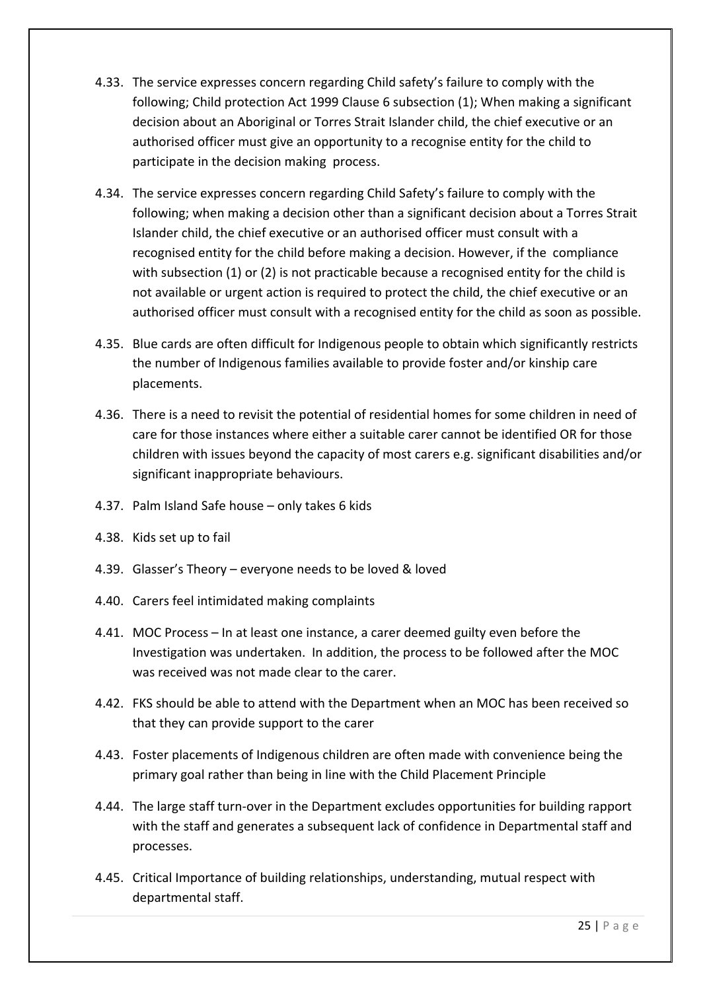- 4.33. The service expresses concern regarding Child safety's failure to comply with the following; Child protection Act 1999 Clause 6 subsection (1); When making a significant decision about an Aboriginal or Torres Strait Islander child, the chief executive or an authorised officer must give an opportunity to a recognise entity for the child to participate in the decision making process.
- 4.34. The service expresses concern regarding Child Safety's failure to comply with the following; when making a decision other than a significant decision about a Torres Strait Islander child, the chief executive or an authorised officer must consult with a recognised entity for the child before making a decision. However, if the compliance with subsection (1) or (2) is not practicable because a recognised entity for the child is not available or urgent action is required to protect the child, the chief executive or an authorised officer must consult with a recognised entity for the child as soon as possible.
- 4.35. Blue cards are often difficult for Indigenous people to obtain which significantly restricts the number of Indigenous families available to provide foster and/or kinship care placements.
- 4.36. There is a need to revisit the potential of residential homes for some children in need of care for those instances where either a suitable carer cannot be identified OR for those children with issues beyond the capacity of most carers e.g. significant disabilities and/or significant inappropriate behaviours.
- 4.37. Palm Island Safe house only takes 6 kids
- 4.38. Kids set up to fail
- 4.39. Glasser's Theory everyone needs to be loved & loved
- 4.40. Carers feel intimidated making complaints
- 4.41. MOC Process In at least one instance, a carer deemed guilty even before the Investigation was undertaken. In addition, the process to be followed after the MOC was received was not made clear to the carer.
- 4.42. FKS should be able to attend with the Department when an MOC has been received so that they can provide support to the carer
- 4.43. Foster placements of Indigenous children are often made with convenience being the primary goal rather than being in line with the Child Placement Principle
- 4.44. The large staff turn-over in the Department excludes opportunities for building rapport with the staff and generates a subsequent lack of confidence in Departmental staff and processes.
- 4.45. Critical Importance of building relationships, understanding, mutual respect with departmental staff.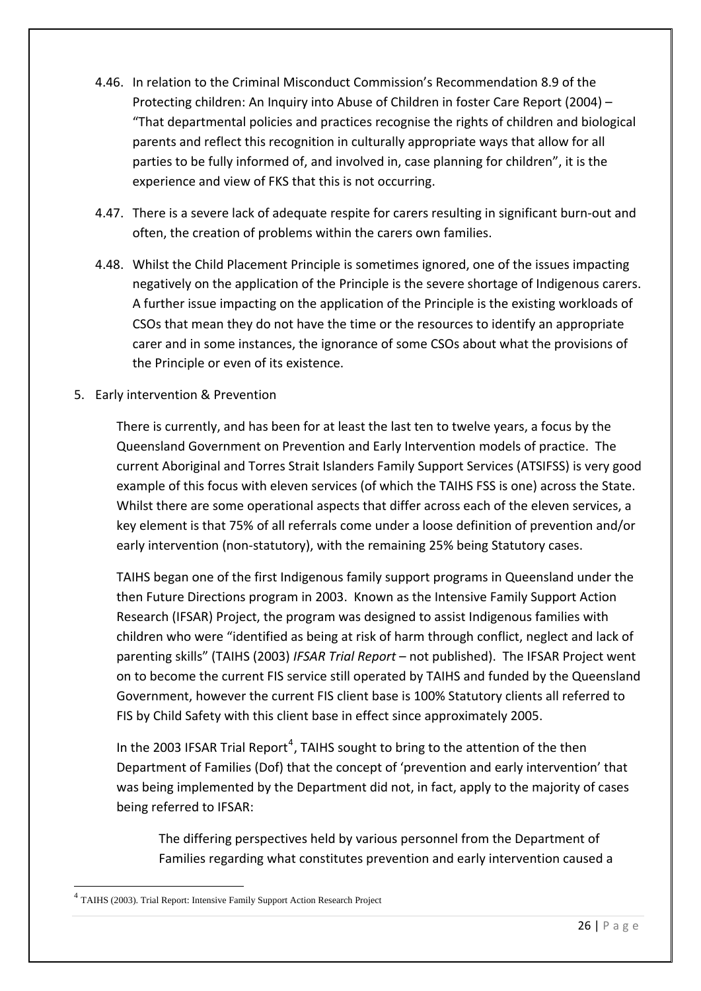- 4.46. In relation to the Criminal Misconduct Commission's Recommendation 8.9 of the Protecting children: An Inquiry into Abuse of Children in foster Care Report (2004) – "That departmental policies and practices recognise the rights of children and biological parents and reflect this recognition in culturally appropriate ways that allow for all parties to be fully informed of, and involved in, case planning for children", it is the experience and view of FKS that this is not occurring.
- 4.47. There is a severe lack of adequate respite for carers resulting in significant burn‐out and often, the creation of problems within the carers own families.
- 4.48. Whilst the Child Placement Principle is sometimes ignored, one of the issues impacting negatively on the application of the Principle is the severe shortage of Indigenous carers. A further issue impacting on the application of the Principle is the existing workloads of CSOs that mean they do not have the time or the resources to identify an appropriate carer and in some instances, the ignorance of some CSOs about what the provisions of the Principle or even of its existence.
- 5. Early intervention & Prevention

There is currently, and has been for at least the last ten to twelve years, a focus by the Queensland Government on Prevention and Early Intervention models of practice. The current Aboriginal and Torres Strait Islanders Family Support Services (ATSIFSS) is very good example of this focus with eleven services (of which the TAIHS FSS is one) across the State. Whilst there are some operational aspects that differ across each of the eleven services, a key element is that 75% of all referrals come under a loose definition of prevention and/or early intervention (non-statutory), with the remaining 25% being Statutory cases.

TAIHS began one of the first Indigenous family support programs in Queensland under the then Future Directions program in 2003. Known as the Intensive Family Support Action Research (IFSAR) Project, the program was designed to assist Indigenous families with children who were "identified as being at risk of harm through conflict, neglect and lack of parenting skills" (TAIHS (2003) *IFSAR Trial Report* – not published). The IFSAR Project went on to become the current FIS service still operated by TAIHS and funded by the Queensland Government, however the current FIS client base is 100% Statutory clients all referred to FIS by Child Safety with this client base in effect since approximately 2005.

In the 2003 IFSAR Trial Report<sup>[4](#page-4-1)</sup>, TAIHS sought to bring to the attention of the then Department of Families (Dof) that the concept of 'prevention and early intervention' that was being implemented by the Department did not, in fact, apply to the majority of cases being referred to IFSAR:

The differing perspectives held by various personnel from the Department of Families regarding what constitutes prevention and early intervention caused a

<span id="page-25-0"></span><sup>4</sup> TAIHS (2003). Trial Report: Intensive Family Support Action Research Project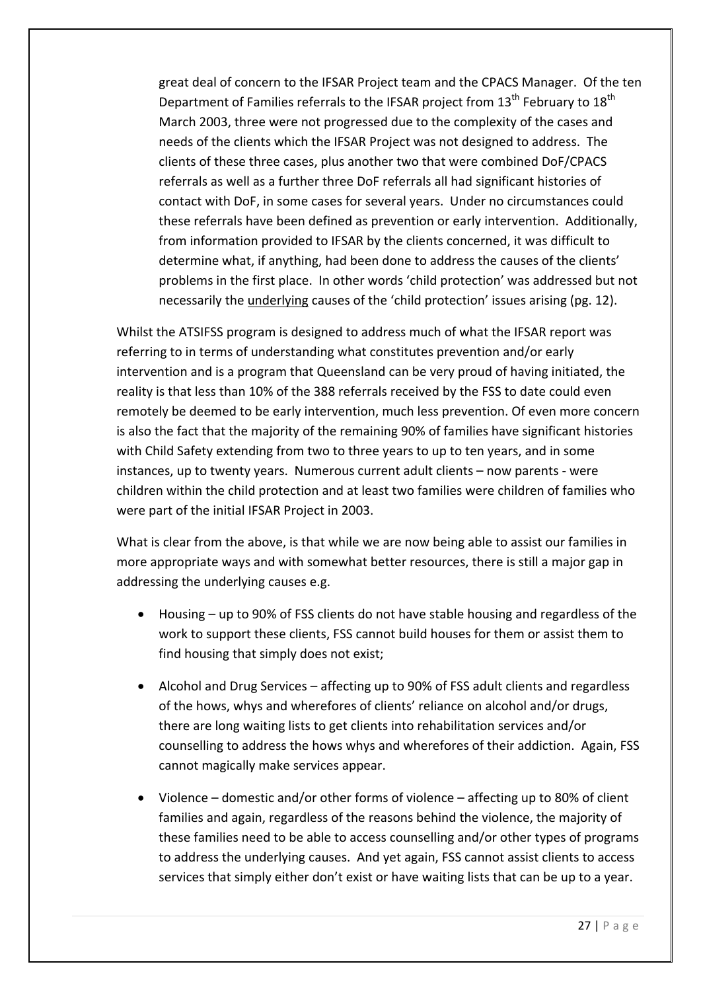great deal of concern to the IFSAR Project team and the CPACS Manager. Of the ten Department of Families referrals to the IFSAR project from  $13<sup>th</sup>$  February to  $18<sup>th</sup>$ March 2003, three were not progressed due to the complexity of the cases and needs of the clients which the IFSAR Project was not designed to address. The clients of these three cases, plus another two that were combined DoF/CPACS referrals as well as a further three DoF referrals all had significant histories of contact with DoF, in some cases for several years. Under no circumstances could these referrals have been defined as prevention or early intervention. Additionally, from information provided to IFSAR by the clients concerned, it was difficult to determine what, if anything, had been done to address the causes of the clients' problems in the first place. In other words 'child protection' was addressed but not necessarily the underlying causes of the 'child protection' issues arising (pg. 12).

Whilst the ATSIFSS program is designed to address much of what the IFSAR report was referring to in terms of understanding what constitutes prevention and/or early intervention and is a program that Queensland can be very proud of having initiated, the reality is that less than 10% of the 388 referrals received by the FSS to date could even remotely be deemed to be early intervention, much less prevention. Of even more concern is also the fact that the majority of the remaining 90% of families have significant histories with Child Safety extending from two to three years to up to ten years, and in some instances, up to twenty years. Numerous current adult clients – now parents ‐ were children within the child protection and at least two families were children of families who were part of the initial IFSAR Project in 2003.

What is clear from the above, is that while we are now being able to assist our families in more appropriate ways and with somewhat better resources, there is still a major gap in addressing the underlying causes e.g.

- Housing up to 90% of FSS clients do not have stable housing and regardless of the work to support these clients, FSS cannot build houses for them or assist them to find housing that simply does not exist;
- Alcohol and Drug Services affecting up to 90% of FSS adult clients and regardless of the hows, whys and wherefores of clients' reliance on alcohol and/or drugs, there are long waiting lists to get clients into rehabilitation services and/or counselling to address the hows whys and wherefores of their addiction. Again, FSS cannot magically make services appear.
- Violence domestic and/or other forms of violence affecting up to 80% of client families and again, regardless of the reasons behind the violence, the majority of these families need to be able to access counselling and/or other types of programs to address the underlying causes. And yet again, FSS cannot assist clients to access services that simply either don't exist or have waiting lists that can be up to a year.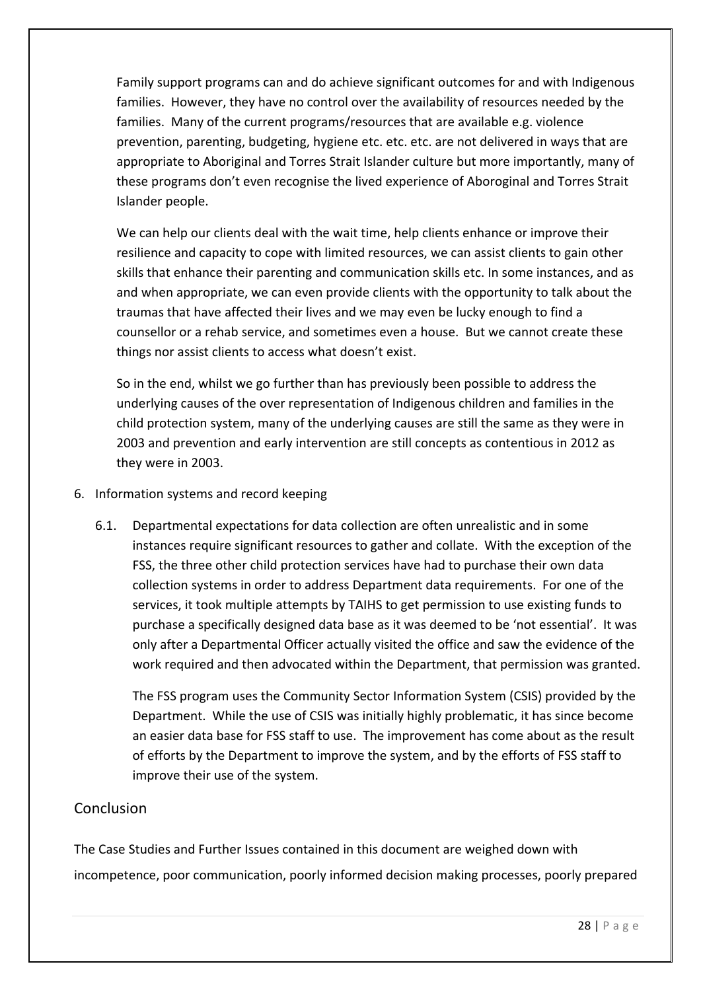Family support programs can and do achieve significant outcomes for and with Indigenous families. However, they have no control over the availability of resources needed by the families. Many of the current programs/resources that are available e.g. violence prevention, parenting, budgeting, hygiene etc. etc. etc. are not delivered in ways that are appropriate to Aboriginal and Torres Strait Islander culture but more importantly, many of these programs don't even recognise the lived experience of Aboroginal and Torres Strait Islander people.

We can help our clients deal with the wait time, help clients enhance or improve their resilience and capacity to cope with limited resources, we can assist clients to gain other skills that enhance their parenting and communication skills etc. In some instances, and as and when appropriate, we can even provide clients with the opportunity to talk about the traumas that have affected their lives and we may even be lucky enough to find a counsellor or a rehab service, and sometimes even a house. But we cannot create these things nor assist clients to access what doesn't exist.

So in the end, whilst we go further than has previously been possible to address the underlying causes of the over representation of Indigenous children and families in the child protection system, many of the underlying causes are still the same as they were in 2003 and prevention and early intervention are still concepts as contentious in 2012 as they were in 2003.

### 6. Information systems and record keeping

6.1. Departmental expectations for data collection are often unrealistic and in some instances require significant resources to gather and collate. With the exception of the FSS, the three other child protection services have had to purchase their own data collection systems in order to address Department data requirements. For one of the services, it took multiple attempts by TAIHS to get permission to use existing funds to purchase a specifically designed data base as it was deemed to be 'not essential'. It was only after a Departmental Officer actually visited the office and saw the evidence of the work required and then advocated within the Department, that permission was granted.

The FSS program uses the Community Sector Information System (CSIS) provided by the Department. While the use of CSIS was initially highly problematic, it has since become an easier data base for FSS staff to use. The improvement has come about as the result of efforts by the Department to improve the system, and by the efforts of FSS staff to improve their use of the system.

# Conclusion

The Case Studies and Further Issues contained in this document are weighed down with incompetence, poor communication, poorly informed decision making processes, poorly prepared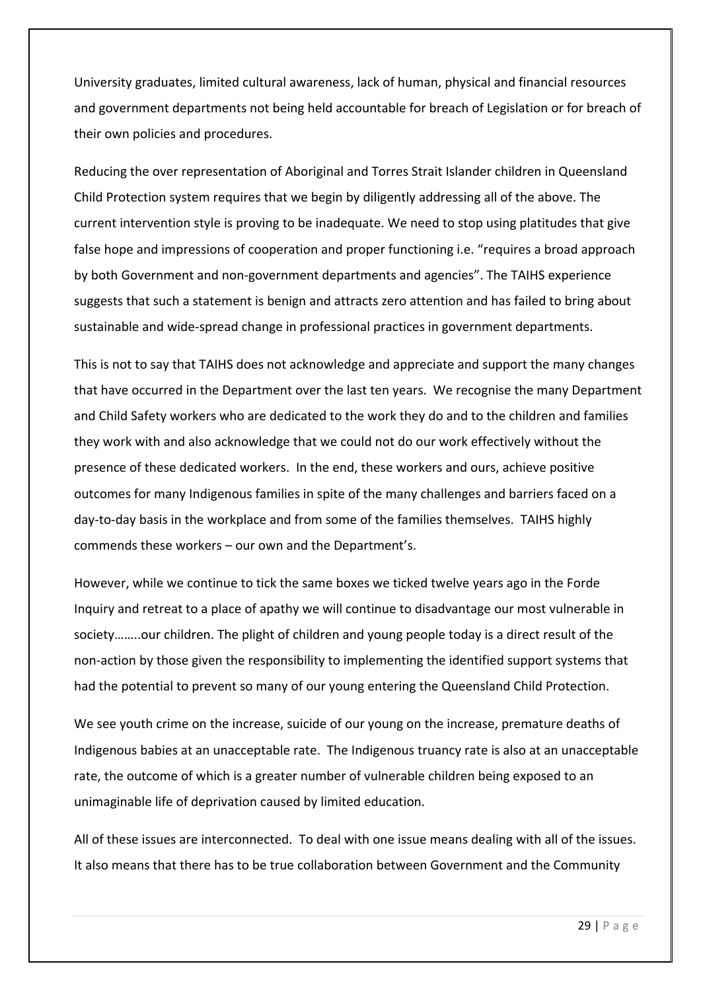University graduates, limited cultural awareness, lack of human, physical and financial resources and government departments not being held accountable for breach of Legislation or for breach of their own policies and procedures.

Reducing the over representation of Aboriginal and Torres Strait Islander children in Queensland Child Protection system requires that we begin by diligently addressing all of the above. The current intervention style is proving to be inadequate. We need to stop using platitudes that give false hope and impressions of cooperation and proper functioning i.e. "requires a broad approach by both Government and non‐government departments and agencies". The TAIHS experience suggests that such a statement is benign and attracts zero attention and has failed to bring about sustainable and wide‐spread change in professional practices in government departments.

This is not to say that TAIHS does not acknowledge and appreciate and support the many changes that have occurred in the Department over the last ten years. We recognise the many Department and Child Safety workers who are dedicated to the work they do and to the children and families they work with and also acknowledge that we could not do our work effectively without the presence of these dedicated workers. In the end, these workers and ours, achieve positive outcomes for many Indigenous families in spite of the many challenges and barriers faced on a day‐to‐day basis in the workplace and from some of the families themselves. TAIHS highly commends these workers – our own and the Department's.

However, while we continue to tick the same boxes we ticked twelve years ago in the Forde Inquiry and retreat to a place of apathy we will continue to disadvantage our most vulnerable in society……..our children. The plight of children and young people today is a direct result of the non-action by those given the responsibility to implementing the identified support systems that had the potential to prevent so many of our young entering the Queensland Child Protection.

We see youth crime on the increase, suicide of our young on the increase, premature deaths of Indigenous babies at an unacceptable rate. The Indigenous truancy rate is also at an unacceptable rate, the outcome of which is a greater number of vulnerable children being exposed to an unimaginable life of deprivation caused by limited education.

All of these issues are interconnected. To deal with one issue means dealing with all of the issues. It also means that there has to be true collaboration between Government and the Community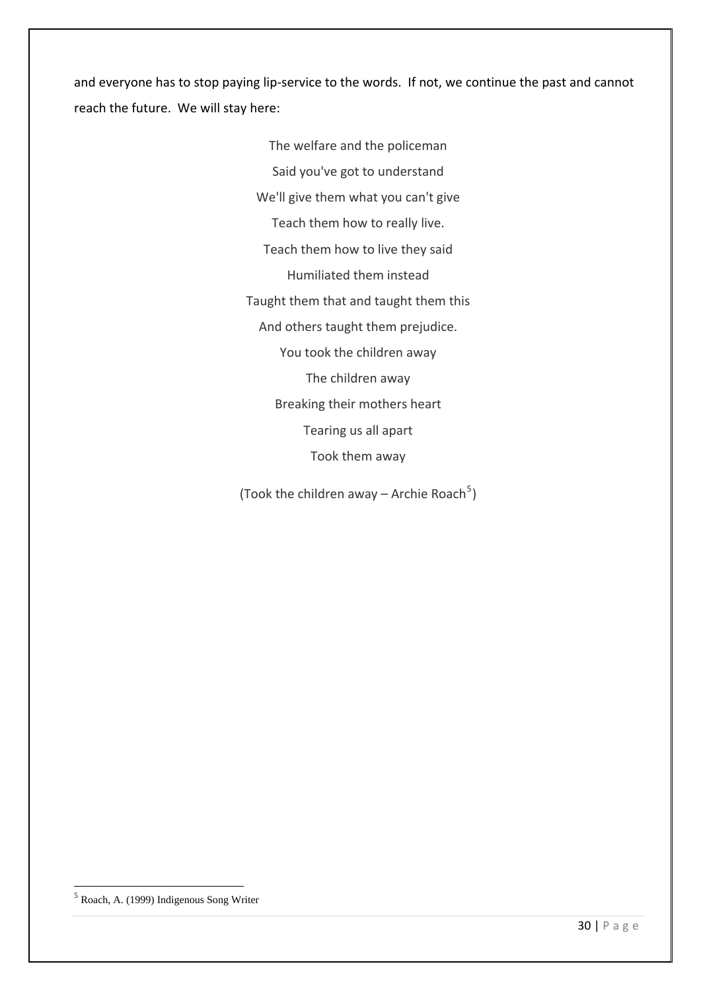and everyone has to stop paying lip-service to the words. If not, we continue the past and cannot reach the future. We will stay here:

> The welfare and the policeman Said you've got to understand We'll give them what you can't give Teach them how to really live. Teach them how to live they said Humiliated them instead Taught them that and taught them this And others taught them prejudice. You took the children away The children away Breaking their mothers heart Tearing us all apart Took them away

(Took the children away  $-$  Archie Roach<sup>[5](#page-25-0)</sup>)

 <sup>5</sup> Roach, A. (1999) Indigenous Song Writer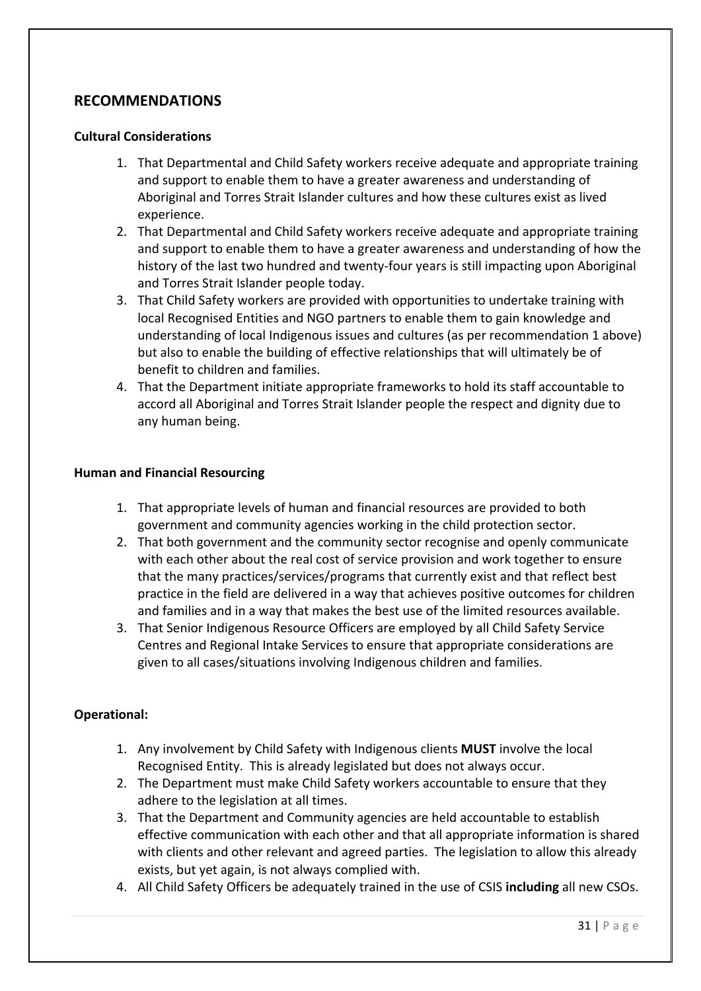# **RECOMMENDATIONS**

# **Cultural Considerations**

- 1. That Departmental and Child Safety workers receive adequate and appropriate training and support to enable them to have a greater awareness and understanding of Aboriginal and Torres Strait Islander cultures and how these cultures exist as lived experience.
- 2. That Departmental and Child Safety workers receive adequate and appropriate training and support to enable them to have a greater awareness and understanding of how the history of the last two hundred and twenty‐four years is still impacting upon Aboriginal and Torres Strait Islander people today.
- 3. That Child Safety workers are provided with opportunities to undertake training with local Recognised Entities and NGO partners to enable them to gain knowledge and understanding of local Indigenous issues and cultures (as per recommendation 1 above) but also to enable the building of effective relationships that will ultimately be of benefit to children and families.
- 4. That the Department initiate appropriate frameworks to hold its staff accountable to accord all Aboriginal and Torres Strait Islander people the respect and dignity due to any human being.

### **Human and Financial Resourcing**

- 1. That appropriate levels of human and financial resources are provided to both government and community agencies working in the child protection sector.
- 2. That both government and the community sector recognise and openly communicate with each other about the real cost of service provision and work together to ensure that the many practices/services/programs that currently exist and that reflect best practice in the field are delivered in a way that achieves positive outcomes for children and families and in a way that makes the best use of the limited resources available.
- 3. That Senior Indigenous Resource Officers are employed by all Child Safety Service Centres and Regional Intake Services to ensure that appropriate considerations are given to all cases/situations involving Indigenous children and families.

# **Operational:**

- 1. Any involvement by Child Safety with Indigenous clients **MUST** involve the local Recognised Entity. This is already legislated but does not always occur.
- 2. The Department must make Child Safety workers accountable to ensure that they adhere to the legislation at all times.
- 3. That the Department and Community agencies are held accountable to establish effective communication with each other and that all appropriate information is shared with clients and other relevant and agreed parties. The legislation to allow this already exists, but yet again, is not always complied with.
- 4. All Child Safety Officers be adequately trained in the use of CSIS **including** all new CSOs.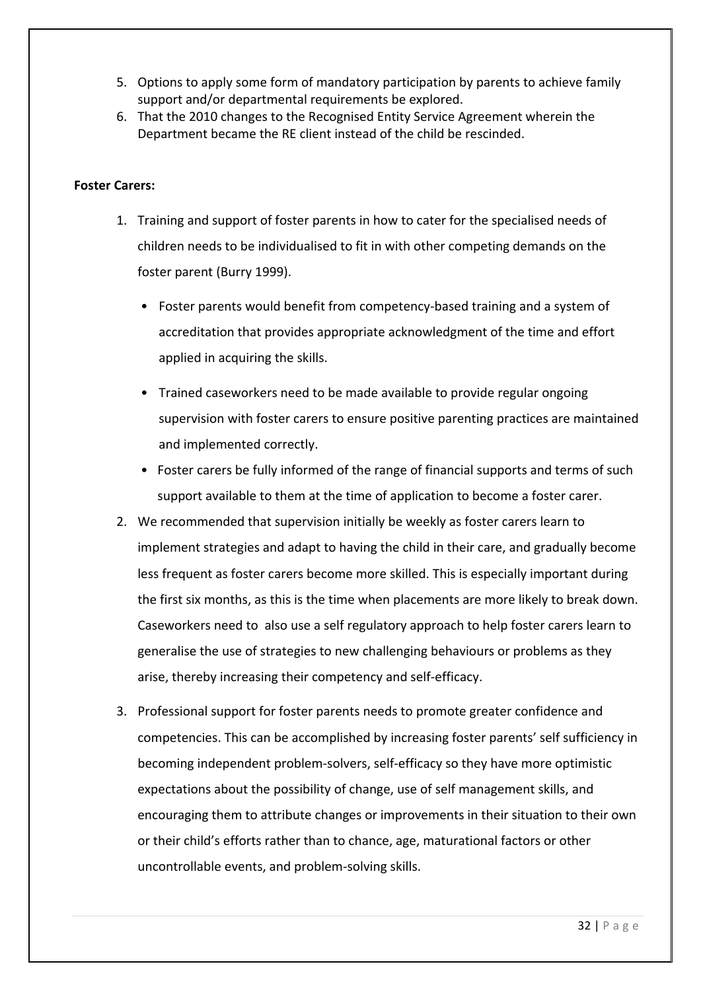- 5. Options to apply some form of mandatory participation by parents to achieve family support and/or departmental requirements be explored.
- 6. That the 2010 changes to the Recognised Entity Service Agreement wherein the Department became the RE client instead of the child be rescinded.

### **Foster Carers:**

- 1. Training and support of foster parents in how to cater for the specialised needs of children needs to be individualised to fit in with other competing demands on the foster parent (Burry 1999).
	- Foster parents would benefit from competency-based training and a system of accreditation that provides appropriate acknowledgment of the time and effort applied in acquiring the skills.
	- Trained caseworkers need to be made available to provide regular ongoing supervision with foster carers to ensure positive parenting practices are maintained and implemented correctly.
	- Foster carers be fully informed of the range of financial supports and terms of such support available to them at the time of application to become a foster carer.
- 2. We recommended that supervision initially be weekly as foster carers learn to implement strategies and adapt to having the child in their care, and gradually become less frequent as foster carers become more skilled. This is especially important during the first six months, as this is the time when placements are more likely to break down. Caseworkers need to also use a self regulatory approach to help foster carers learn to generalise the use of strategies to new challenging behaviours or problems as they arise, thereby increasing their competency and self‐efficacy.
- 3. Professional support for foster parents needs to promote greater confidence and competencies. This can be accomplished by increasing foster parents' self sufficiency in becoming independent problem‐solvers, self‐efficacy so they have more optimistic expectations about the possibility of change, use of self management skills, and encouraging them to attribute changes or improvements in their situation to their own or their child's efforts rather than to chance, age, maturational factors or other uncontrollable events, and problem‐solving skills.